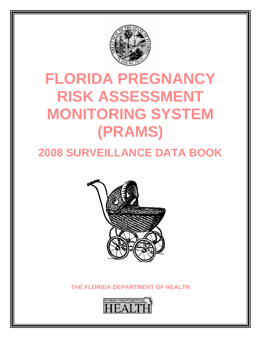

# **FLORIDA PREGNANCY RISK ASSESSMENT MONITORING SYSTEM (PRAMS)**

# **2008 SURVEILLANCE DATA BOOK**



**THE FLORIDA DEPARTMENT OF HEALTH** 

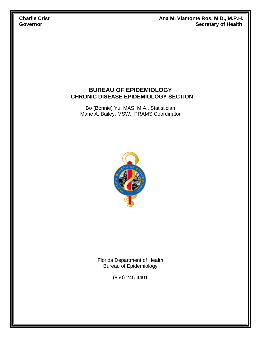**Charlie Crist Crist Ana M. Viamonte Ros, M.D., M.P.H. Charlie Crist Governor** Secretary of Health

#### **BUREAU OF EPIDEMIOLOGY CHRONIC DISEASE EPIDEMIOLOGY SECTION**

Bo (Bonnie) Yu, MAS, M.A., Statistician Marie A. Bailey, MSW., PRAMS Coordinator



Florida Department of Health Bureau of Epidemiology

(850) 245-4401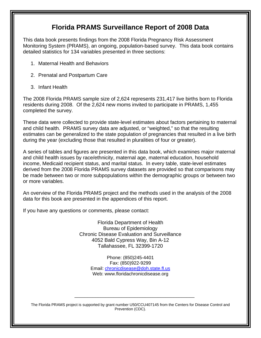### **Florida PRAMS Surveillance Report of 2008 Data**

This data book presents findings from the 2008 Florida Pregnancy Risk Assessment Monitoring System (PRAMS), an ongoing, population-based survey. This data book contains detailed statistics for 134 variables presented in three sections:

- 1. Maternal Health and Behaviors
- 2. Prenatal and Postpartum Care
- 3. Infant Health

The 2008 Florida PRAMS sample size of 2,624 represents 231,417 live births born to Florida residents during 2008. Of the 2,624 new moms invited to participate in PRAMS, 1,455 completed the survey.

These data were collected to provide state-level estimates about factors pertaining to maternal and child health. PRAMS survey data are adjusted, or "weighted," so that the resulting estimates can be generalized to the state population of pregnancies that resulted in a live birth during the year (excluding those that resulted in pluralities of four or greater).

A series of tables and figures are presented in this data book, which examines major maternal and child health issues by race/ethnicity, maternal age, maternal education, household income, Medicaid recipient status, and marital status. In every table, state-level estimates derived from the 2008 Florida PRAMS survey datasets are provided so that comparisons may be made between two or more subpopulations within the demographic groups or between two or more variables.

An overview of the Florida PRAMS project and the methods used in the analysis of the 2008 data for this book are presented in the appendices of this report.

If you have any questions or comments, please contact:

Florida Department of Health Bureau of Epidemiology Chronic Disease Evaluation and Surveillance 4052 Bald Cypress Way, Bin A-12 Tallahassee, FL 32399-1720

> Phone: (850)245-4401 Fax: (850)922-9299 Email: chronicdisease@doh.state.fl.us Web: www.floridachronicdisease.org

The Florida PRAMS project is supported by grant number U50/CCU407145 from the Centers for Disease Control and Prevention (CDC).

\_\_\_\_\_\_\_\_\_\_\_\_\_\_\_\_\_\_\_\_\_\_\_\_\_\_\_\_\_\_\_\_\_\_\_\_\_\_\_\_\_\_\_\_\_\_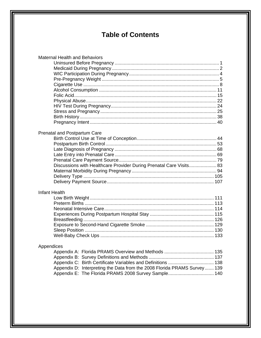## **Table of Contents**

| <b>Maternal Health and Behaviors</b>                                     |
|--------------------------------------------------------------------------|
|                                                                          |
|                                                                          |
|                                                                          |
|                                                                          |
|                                                                          |
|                                                                          |
|                                                                          |
|                                                                          |
|                                                                          |
|                                                                          |
|                                                                          |
|                                                                          |
|                                                                          |
| Prenatal and Postpartum Care                                             |
|                                                                          |
|                                                                          |
|                                                                          |
|                                                                          |
|                                                                          |
|                                                                          |
| Discussions with Healthcare Provider During Prenatal Care Visits 83      |
|                                                                          |
|                                                                          |
|                                                                          |
|                                                                          |
| <b>Infant Health</b>                                                     |
|                                                                          |
|                                                                          |
|                                                                          |
|                                                                          |
|                                                                          |
|                                                                          |
|                                                                          |
|                                                                          |
|                                                                          |
| Appendices                                                               |
|                                                                          |
|                                                                          |
|                                                                          |
| Appendix D: Interpreting the Data from the 2008 Florida PRAMS Survey 139 |
| Appendix E: The Florida PRAMS 2008 Survey Sample 140                     |
|                                                                          |
|                                                                          |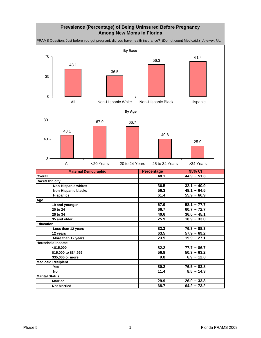#### **Prevalence (Percentage) of Being Uninsured Before Pregnancy Among New Moms in Florida**

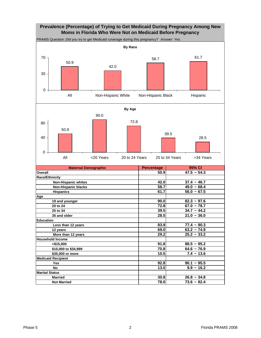#### **Prevalence (Percentage) of Trying to Get Medicaid During Pregnancy Among New Moms in Florida Who Were Not on Medicaid Before Pregnancy**

**Maternal Demographic Referential Percentage Overall 50.9 47.5 ~ 54.3 Race/Ethnicity Non-Hispanic whites 42.0 37.4 ~ 46.7 Non-Hispanic blacks 58.7 49.0 ~ 68.4 Hispanics** 61.7 56.0 ~ 67.5 **Age 19 and younger 90.0 82.3 ~ 97.6 20 to 24 67.0 ~ 78.7 12.8 67.0 ~ 78.7 25 to 34 39.5 34.7 ~ 44.2 35 and older 28.5 21.0 ~ 36.0 Education Less than 12 years 83.9 77.4 ~ 90.3 12 years 69.0 63.2 ~ 74.9 More than 12 years 29.2** 25.2 ~ 33.2 **Household Income 4.5,000 1.8** 88.5 ~ 95.2  **\$15,000 to \$34,999 70.8 64.6 ~ 76.9** PRAMS Question: Did you try to get Medicaid coverage during this pregnancy? *Answer: Yes.*  **95% CI By Race** 50.9 42.0 58.7 61.7 0 35 70 All Mon-Hispanic White Non-Hispanic Black Hispanic **By Age** 50.9 90.0 72.8 39.5 28.5 0 40 80 All <20 Years 20 to 24 Years 25 to 34 Years >34 Years

**Medicaid Recipient**

**Marital Status**

 **\$35,000 or more 10.5 7.4 ~ 13.6**

 **Yes 92.8 90.1 ~ 95.5 No 13.0** 9.9 ~ 16.2

 **Married 30.8 26.8 ~ 34.8 Not Married 78.0 73.6 ~ 82.4**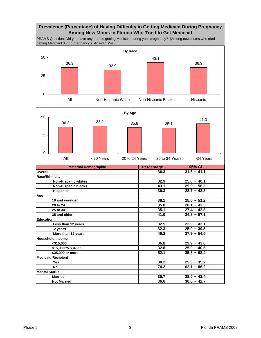#### **Prevalence (Percentage) of Having Difficulty in Getting Medicaid During Pregnancy Among New Moms in Florida Who Tried to Get Medicaid**

PRAMS Question: Did you have any trouble getting Medicaid during your pregnancy? (Among new moms who tried getting Medicaid during pregnancy.) *Answer: Yes* .

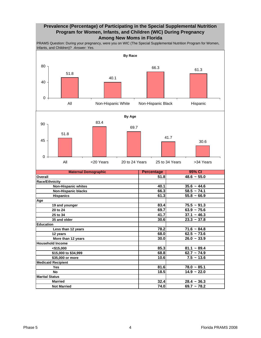#### **Prevalence (Percentage) of Participating in the Special Supplemental Nutrition Program for Women, Infants, and Children (WIC) During Pregnancy Among New Moms in Florida**

PRAMS Question: During your pregnancy, were you on WIC (The Special Supplemental Nutrition Program for Women, Infants, and Children)? *Answer: Yes.*

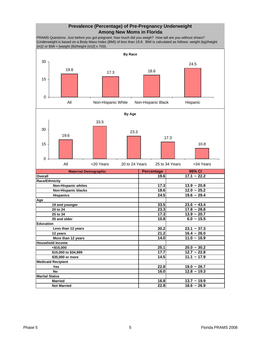#### **Prevalence (Percentage) of Pre-Pregnancy Underweight Among New Moms in Florida**

PRAMS Questions: Just before you got pregnant, how much did you weigh? How tall are you without shoes? (Underweight is based on a Body Mass Index (BMI) of less than 19.8. BMI is calculated as follows: weight (kg)/height  $(m)2$  or BMI = [weight (lb)/height (in)2] x 703).

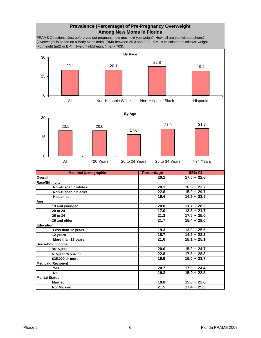#### **Prevalence (Percentage) of Pre-Pregnancy Overweight Among New Moms in Florida**

PRAMS Questions: Just before you got pregnant, how much did you weigh? How tall are you without shoes? (Overweight is based on a Body Mass Index (BMI) between 25.0 and 30.0. BMI is calculated as follows: weight (kg)/height (m)2 or BMI = [weight (lb)/height (in)2] x 703).



| <b>Non-Hispanic blacks</b> | 22.8 | $15.9 - 29.7$ |
|----------------------------|------|---------------|
| <b>Hispanics</b>           | 19.4 | $14.9 - 23.9$ |
| Age                        |      |               |
| 19 and younger             | 20.0 | $11.7 - 28.3$ |
| 20 to 24                   | 17.0 | $12.3 - 21.7$ |
| 25 to 34                   | 21.3 | $17.5 - 25.0$ |
| 35 and older               | 21.7 | $15.4 - 28.0$ |
| <b>Education</b>           |      |               |
| Less than 12 years         | 19.3 | $13.0 - 25.5$ |
| 12 years                   | 18.7 | $14.2 - 23.3$ |
| More than 12 years         | 21.6 | $18.1 - 25.1$ |
| <b>Household Income</b>    |      |               |
| $<$ \$15,000               | 20.0 | $15.2 - 24.7$ |
| \$15,000 to \$34,999       | 22.8 | $17.3 - 28.3$ |
| \$35,000 or more           | 19.9 | $16.0 - 23.7$ |
| <b>Medicaid Recipient</b>  |      |               |
| <b>Yes</b>                 | 20.7 | $17.0 - 24.4$ |
| No                         | 19.3 | $15.9 - 22.8$ |
| <b>Marital Status</b>      |      |               |
| <b>Married</b>             | 18.8 | $15.6 - 22.0$ |
| <b>Not Married</b>         | 21.5 | $17.4 - 25.5$ |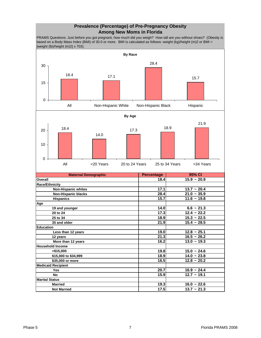#### **Prevalence (Percentage) of Pre-Pregnancy Obesity Among New Moms in Florida**

PRAMS Questions: Just before you got pregnant, how much did you weigh? How tall are you without shoes? (Obesity is based on a Body Mass Index (BMI) of 30.0 or more. BMI is calculated as follows: weight (kg)/height (m)2 or BMI = [weight (lb)/height (in)2] x 703).

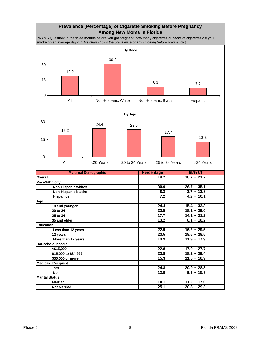#### **Prevalence (Percentage) of Cigarette Smoking Before Pregnancy Among New Moms in Florida**

PRAMS Question: In the three months before you got pregnant, how many cigarettes or packs of cigarettes did you smoke on an average day? *(This chart shows the prevalence of any smoking before pregnancy.)* 



 **Not Married 25.1 20.8 ~ 29.3**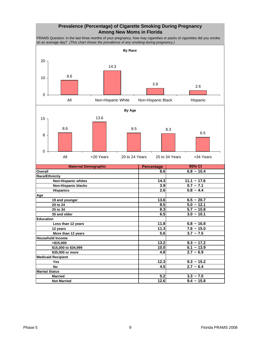#### **Prevalence (Percentage) of Cigarette Smoking During Pregnancy Among New Moms in Florida**

PRAMS Question: In the last three months of your pregnancy, how may cigarettes or packs of cigarettes did you smoke on an average day? *(This chart shows the prevalence of any smoking during pregnancy.)* 



| Less than 12 years        | 11.81 | $6.8 - 16.8$    |
|---------------------------|-------|-----------------|
| 12 years                  | 11.3  | $7.6 - 15.0$    |
| More than 12 years        | 5.6   | $3.7 \sim 7.5$  |
| <b>Household Income</b>   |       |                 |
| $<$ \$15,000              | 13.2  | $9.3 \sim 17.2$ |
| \$15,000 to \$34,999      | 10.0  | $6.1 - 13.9$    |
| \$35,000 or more          | 4.8   | $2.7 - 6.9$     |
| <b>Medicaid Recipient</b> |       |                 |
| <b>Yes</b>                | 12.3  | $9.3 - 15.2$    |
| No                        | 4.5   | $2.7 - 6.4$     |
| <b>Marital Status</b>     |       |                 |
| <b>Married</b>            | 5.2   | $3.3 - 7.0$     |
| <b>Not Married</b>        | 12.6  | $9.4 - 15.8$    |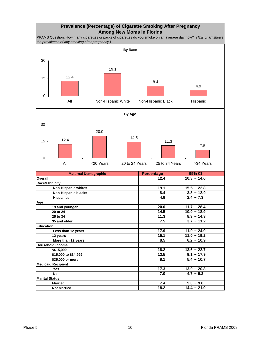#### **Prevalence (Percentage) of Cigarette Smoking After Pregnancy Among New Moms in Florida**

PRAMS Question: How many cigarettes or packs of cigarettes do you smoke on an average day now? *(This chart shows the prevalence of any smoking after pregnancy.)* 

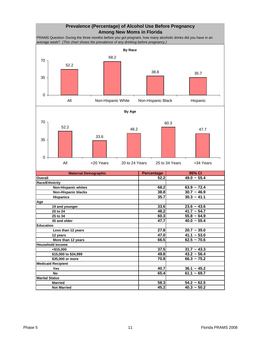#### **Prevalence (Percentage) of Alcohol Use Before Pregnancy Among New Moms in Florida**

PRAMS Question: During the three months before you got pregnant, how many alcoholic drinks did you have in an average week? *(This chart shows the prevalence of any drinking before pregnancy.)* 

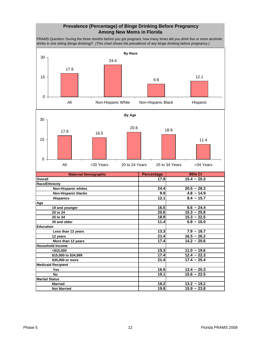#### **Prevalence (Percentage) of Binge Drinking Before Pregnancy Among New Moms in Florida**

PRAMS Question: During the three months before you got pregnant, how many times did you drink five or more alcoholic drinks in one sitting (binge drinking)? *(This chart shows the prevalence of any binge drinking before pregnancy.)* 

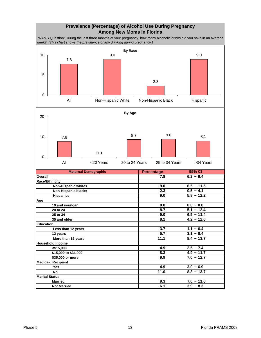#### **Prevalence (Percentage) of Alcohol Use During Pregnancy Among New Moms in Florida**

PRAMS Question: During the last three months of your pregnancy, how many alcoholic drinks did you have in an average week? *(This chart shows the prevalence of any drinking during pregnancy.)* 

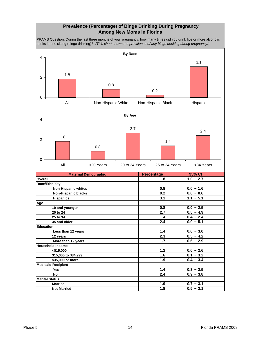#### **Prevalence (Percentage) of Binge Drinking During Pregnancy Among New Moms in Florida**

PRAMS Question: During the last three months of your pregnancy, how many times did you drink five or more alcoholic drinks in one sitting (binge drinking)? *(This chart shows the prevalence of any binge drinking during pregnancy.)* 

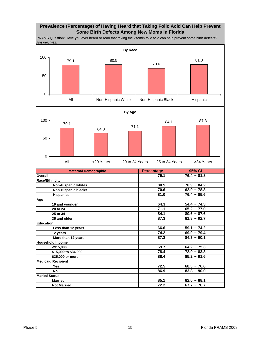#### **Prevalence (Percentage) of Having Heard that Taking Folic Acid Can Help Prevent Some Birth Defects Among New Moms in Florida**

PRAMS Question: Have you ever heard or read that taking the vitamin folic acid can help prevent some birth defects? *Answer: Yes.* 

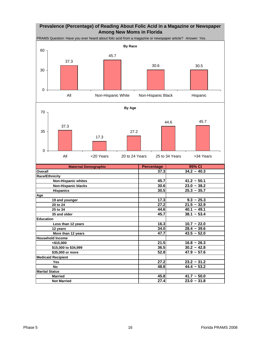#### **Prevalence (Percentage) of Reading About Folic Acid in a Magazine or Newspaper Among New Moms in Florida**



| <b>Maternal Demographic</b> | <b>Percentage</b> | 95% CI        |
|-----------------------------|-------------------|---------------|
| Overall                     | 37.3              | $34.2 - 40.3$ |
| <b>Race/Ethnicity</b>       |                   |               |
| Non-Hispanic whites         | 45.7              | $41.2 - 50.1$ |
| <b>Non-Hispanic blacks</b>  | 30.6              | $23.0 - 38.2$ |
| <b>Hispanics</b>            | 30.5              | $25.3 - 35.7$ |
| Age                         |                   |               |
| 19 and younger              | 17.3              | $9.3 - 25.3$  |
| 20 to 24                    | 27.2              | $21.5 - 32.9$ |
| 25 to 34                    | 44.6              | $40.1 - 49.1$ |
| 35 and older                | 45.7              | $38.1 - 53.4$ |
| <b>Education</b>            |                   |               |
| Less than 12 years          | 16.3              | $10.7 - 22.0$ |
| 12 years                    | 34.0              | $28.4 - 39.6$ |
| More than 12 years          | 47.7              | $43.5 - 52.0$ |
| <b>Household Income</b>     |                   |               |
| $<$ \$15.000                | 21.5              | $16.8 - 26.3$ |
| \$15,000 to \$34,999        | 36.5              | $30.2 - 42.8$ |
| \$35,000 or more            | 52.8              | $47.9 - 57.6$ |
| <b>Medicaid Recipient</b>   |                   |               |
| Yes                         | 27.2              | $23.2 - 31.2$ |
| <b>No</b>                   | 48.8              | $44.4 - 53.2$ |
| <b>Marital Status</b>       |                   |               |
| <b>Married</b>              | 45.8              | $41.7 - 50.0$ |
| <b>Not Married</b>          | 27.4              | $23.0 - 31.8$ |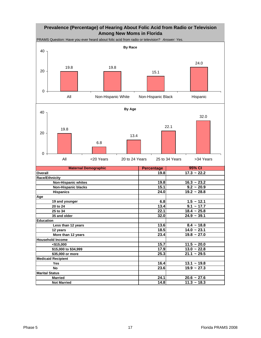#### **Prevalence (Percentage) of Hearing About Folic Acid from Radio or Television Among New Moms in Florida**

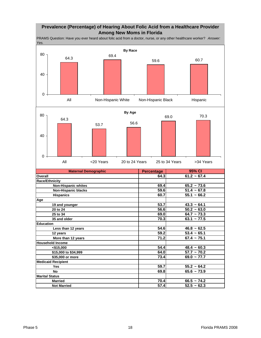#### **Prevalence (Percentage) of Hearing About Folic Acid from a Healthcare Provider Among New Moms in Florida**

**Maternal Demographic Percentage Overall 64.3 61.2 ~ 67.4 Race/Ethnicity Non-Hispanic whites 69.4 65.2 ~ 73.6 Non-Hispanic blacks 59.6 51.4 ~ 67.8 Hispanics 60.7 55.1 ~ 66.2 Age 19 and younger 53.7 43.3 ~ 64.1 20 to 24** 56.6 50.2 ~ 63.0  **25 to 34 69.0 64.7 ~ 73.3 35 and older 70.3 63.1 ~ 77.5 Education Less than 12 years 54.6 46.8 ~ 62.5 12 years 59.2 53.4 ~ 65.1 More than 12 years 71.2** 67.4 ~ 75.1 **Household Income**   $\leq$ \$15,000  $\leq$ **54.4** 48.4  $\sim$  60.3  **\$15,000 to \$34,999 64.0 57.7 ~ 70.2 \$35,000 or more 73.4 69.0 ~ 77.7 Medicaid Recipient Yes 59.7 55.2 ~ 64.2 No 69.8 65.6 ~ 73.9 Marital Status Married 70.4** 66.5 ~ 74.2  **Not Married 57.4 52.5 ~ 62.3** PRAMS Question: Have you ever heard about folic acid from a doctor, nurse, or any other healthcare worker? *Answer: Yes.*  **95% CI By Race** 64.3 69.4 59.6 60.7 0 40 80 All Mon-Hispanic White Non-Hispanic Black Hispanic **By Age** 64.3 53.7 56.6 69.0 70.3 0 40 80 All <20 Years 20 to 24 Years 25 to 34 Years >34 Years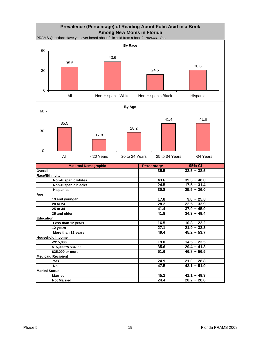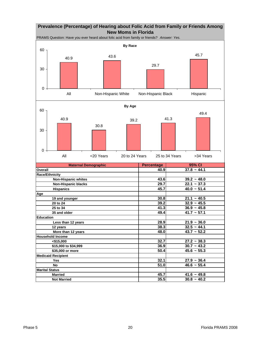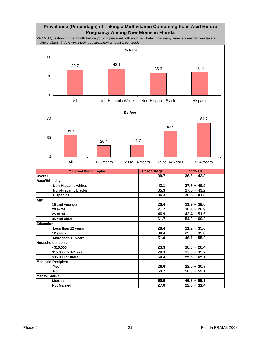#### **Prevalence (Percentage) of Taking a Multivitamin Containing Folic Acid Before Pregnancy Among New Moms in Florida**

PRAMS Question: In the month before you got pregnant with your new baby, how many times a week did you take a multiple vitamin? *Answer: I took a multivitamin at least 1 per week.*





| <b>Maternal Demographic</b> | <b>Percentage</b> | 95% CI        |
|-----------------------------|-------------------|---------------|
| Overall                     | 39.7              | $36.6 - 42.8$ |
| <b>Race/Ethnicity</b>       |                   |               |
| <b>Non-Hispanic whites</b>  | 42.1              | $37.7 - 46.5$ |
| <b>Non-Hispanic blacks</b>  | 35.3              | $27.5 - 43.2$ |
| <b>Hispanics</b>            | 36.3              | $30.8 - 41.8$ |
| Age                         |                   |               |
| 19 and younger              | 20.4              | $11.9 - 29.0$ |
| 20 to 24                    | 21.7              | $16.4 - 26.9$ |
| 25 to 34                    | 46.9              | $42.4 - 51.5$ |
| 35 and older                | 61.7              | $54.2 - 69.2$ |
| <b>Education</b>            |                   |               |
| Less than 12 years          | 28.4              | $21.2 - 35.6$ |
| 12 years                    | 30.4              | $25.0 - 35.8$ |
| More than 12 years          | 51.0              | $46.7 - 55.2$ |
| <b>Household Income</b>     |                   |               |
| $<$ \$15,000                | 23.3              | $18.3 - 28.4$ |
| \$15,000 to \$34,999        | 29.3              | $23.3 - 35.2$ |
| \$35,000 or more            | 60.4              | $55.6 - 65.1$ |
| <b>Medicaid Recipient</b>   |                   |               |
| Yes                         | 26.6              | $22.5 - 30.7$ |
| <b>No</b>                   | 54.7              | $50.3 - 59.1$ |
| <b>Marital Status</b>       |                   |               |
| <b>Married</b>              | 50.9              | $46.8 - 55.1$ |
| <b>Not Married</b>          | 27.0              | $22.6 - 31.4$ |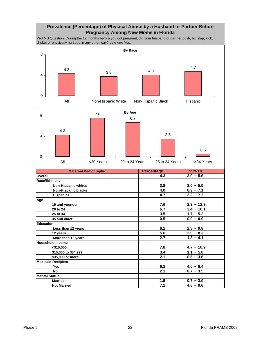#### **Prevalence (Percentage) of Physical Abuse by a Husband or Partner Before Pregnancy Among New Moms in Florida**

PRAMS Question: During the 12 months before you got pregnant, did your husband or partner push, hit, slap, kick, choke, or physically hurt you in any other way? *Answer: Yes.* 

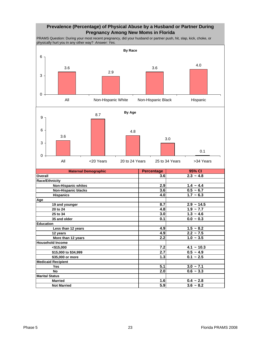#### **Prevalence (Percentage) of Physical Abuse by a Husband or Partner During Pregnancy Among New Moms in Florida**

PRAMS Question: During your most recent pregnancy, did your husband or partner push, hit, slap, kick, choke, or physically hurt you in any other way? *Answer: Yes.* 

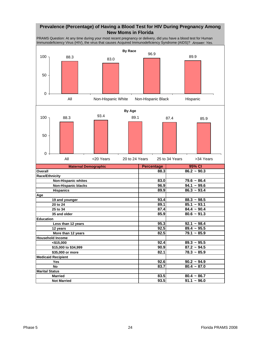#### **Prevalence (Percentage) of Having a Blood Test for HIV During Pregnancy Among New Moms in Florida**

PRAMS Question: At any time during your most recent pregnancy or delivery, did you have a blood test for Human Immunodeficiency Virus (HIV), the virus that causes Acquired Immunodeficiency Syndrome (AIDS)? *Answer: Yes.* 

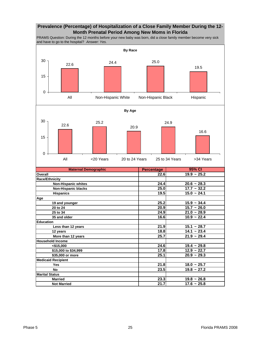#### **Prevalence (Percentage) of Hospitalization of a Close Family Member During the 12- Month Prenatal Period Among New Moms in Florida**

PRAMS Question: During the 12 months before your new baby was born, did a close family member become very sick and have to go to the hospital? *Answer: Yes.* 



| <b>Non-Hispanic whites</b> | 24.4 | $20.6 - 28.3$            |
|----------------------------|------|--------------------------|
| <b>Non-Hispanic blacks</b> | 25.0 | $17.7 - 32.2$            |
| <b>Hispanics</b>           | 19.5 | $15.0 - 24.1$            |
| Age                        |      |                          |
| 19 and younger             | 25.2 | $15.9 - 34.4$            |
| 20 to 24                   | 20.9 | $15.7 - 26.0$            |
| 25 to 34                   | 24.9 | $21.0 - 28.9$            |
| 35 and older               | 16.6 | $10.9 - 22.4$            |
| <b>Education</b>           |      |                          |
| Less than 12 years         | 21.9 | $15.1 - 28.7$            |
| 12 years                   | 18.8 | $\overline{14.1}$ ~ 23.4 |
| More than 12 years         | 25.7 | $21.9 - 29.4$            |
| <b>Household Income</b>    |      |                          |
| $<$ \$15,000               | 24.6 | $19.4 - 29.8$            |
| \$15,000 to \$34,999       | 17.8 | $12.9 - 22.7$            |
| \$35,000 or more           | 25.1 | $20.9 - 29.3$            |
| <b>Medicaid Recipient</b>  |      |                          |
| Yes                        | 21.8 | $18.0 - 25.7$            |
| No                         | 23.5 | $19.8 - 27.2$            |
| <b>Marital Status</b>      |      |                          |
| <b>Married</b>             | 23.3 | $19.8 - 26.8$            |
| <b>Not Married</b>         | 21.7 | $17.6 - 25.8$            |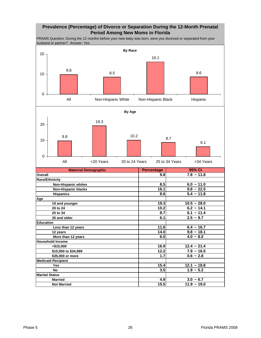#### **Prevalence (Percentage) of Divorce or Separation During the 12-Month Prenatal Period Among New Moms in Florida**

PRAMS Question: During the 12 months before your new baby was born, were you divorced or separated from your husband or partner? *Answer: Yes.* 

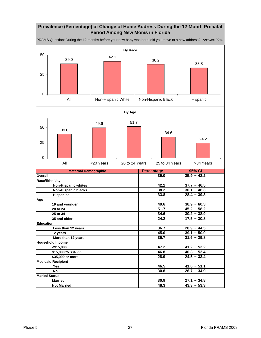#### **Prevalence (Percentage) of Change of Home Address During the 12-Month Prenatal Period Among New Moms in Florida**

**Maternal Demographic Percentage Overall 39.0 35.9 ~ 42.2 Race/Ethnicity Non-Hispanic whites 12.1 42.1 137.7** ~ 46.5  **Non-Hispanic blacks 38.2** 30.1 ~ 46.3  **Hispanics 33.8 28.4 ~ 39.3 Age 19 and younger 49.6 38.9 ~ 60.3 20 to 24 51.7 45.2 ~ 58.2 25 to 34 30.2** ~ 38.9  **35 and older 24.2 17.5 ~ 30.8 Education Less than 12 years 36.7 28.9 ~ 44.5 12 years 45.0 39.1 ~ 50.9 More than 12 years 31.6**  $\sim$  39.8 **Household Income <\$15,000 47.2 41.2 ~ 53.2 \$15,000 to \$34,999 46.8** 46.8 46.8 46.8 46.3 46.8 46.8 46.8 46.3 40.3  $\sim$  53.4 **\$35,000 or more 28.9 Medicaid Recipient Yes 46.5** 41.8 ~ 51.1 **No 26.7 ~ 34.9** 26.7 ~ 34.9 **Marital Status Married 30.9 27.1 ~ 34.8 95% CI** PRAMS Question: During the 12 months before your new baby was born, did you move to a new address? *Answer: Yes.*  **By Race** 39.0 42.1 38.2 33.8 0 25 50 All Mon-Hispanic White Non-Hispanic Black Hispanic **By Age** 39.0 49.6 51.7 34.6 24.2 0 25 50 All <20 Years 20 to 24 Years 25 to 34 Years >34 Years

**Not Married 48.3** 43.3 ~ 53.3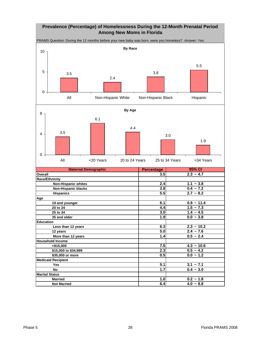#### **Prevalence (Percentage) of Homelessness During the 12-Month Prenatal Period Among New Moms in Florida**

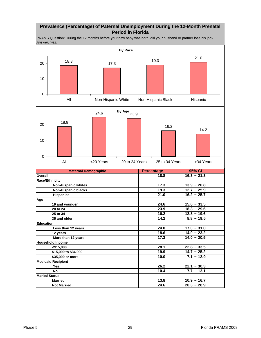#### **Prevalence (Percentage) of Paternal Unemployment During the 12-Month Prenatal Period in Florida**

PRAMS Question: During the 12 months before your new baby was born, did your husband or partner lose his job? *Answer: Yes.* 

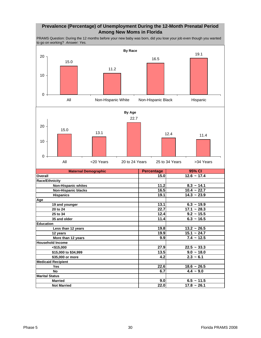#### **Prevalence (Percentage) of Unemployment During the 12-Month Prenatal Period Among New Moms in Florida**

PRAMS Question: During the 12 months before your new baby was born, did you lose your job even though you wanted to go on working? *Answer: Yes.* 

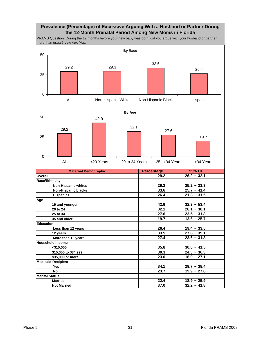#### **Prevalence (Percentage) of Excessive Arguing With a Husband or Partner During the 12-Month Prenatal Period Among New Moms in Florida**

PRAMS Question: During the 12 months before your new baby was born, did you argue with your husband or partner more than usual? *Answer: Yes.* 

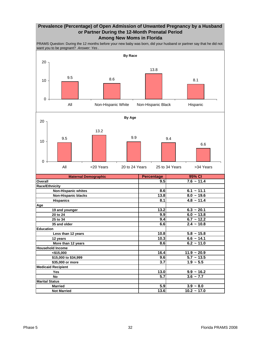#### **Prevalence (Percentage) of Open Admission of Unwanted Pregnancy by a Husband or Partner During the 12-Month Prenatal Period Among New Moms in Florida**

PRAMS Question: During the 12 months before your new baby was born, did your husband or partner say that he did not want you to be pregnant? *Answer: Yes* .

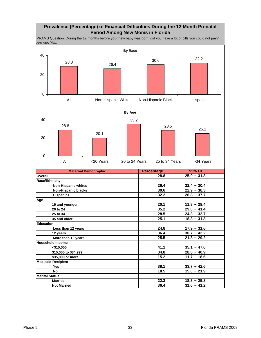## **Prevalence (Percentage) of Financial Difficulties During the 12-Month Prenatal Period Among New Moms in Florida**

PRAMS Question: During the 12 months before your new baby was born, did you have a lot of bills you could not pay? *Answer: Yes.* 

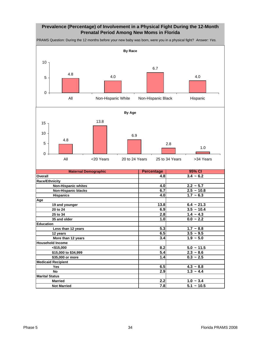## **Prevalence (Percentage) of Involvement in a Physical Fight During the 12-Month Prenatal Period Among New Moms in Florida**

**Maternal Demographic Percentage Overall 4.8** 3.4 ~ 6.2 **Race/Ethnicity Non-Hispanic whites 4.0 2.2** ~ 5.7  **Non-Hispanic blacks 6.7 2.5 ~ 10.8 Hispanics 4.0 1.7 ~ 6.3 Age 19 and younger 13.8 6.4 ~ 21.3 20 to 24 10.4 10.4 10.4 10.4 10.4 10.4 10.4 10.4 10.4 10.4 10.4 10.4 25 to 34 2.8 1.4 ~ 4.3 35 and older 1.0 0.0 ~ 2.2 Education Less than 12 years 1.7** ~ 8.8  **12 years 6.5 3.5 ~ 9.5 More than 12 years 1.9**  $\sim$  5.0 **Household Income**   $\left| \n\begin{array}{ccc} \n\sqrt{3} & 5.0 \times 11.5 \\
\end{array} \n\right|$  8.2 5.0 ~ 11.5  **\$15,000 to \$34,999 5.4 2.3 ~ 8.6 \$35,000 or more 1.4 0.3 ~ 2.5 Medicaid Recipient Yes 6.5 4.3 ~ 8.8 No 2.9 1.3 ~ 4.4 Marital Status Married 2.2 1.0 ~ 3.4 Not Married 7.8 5.1 ~ 10.5 95% CI By Race**  $\frac{4.8}{ }$  4.0 6.7 4.0  $\Omega$ 5 10 All Mon-Hispanic White Non-Hispanic Black Hispanic **By Age** 4.8 13.8 6.9 2.8 1.0 0 5 10 15 All <20 Years 20 to 24 Years 25 to 34 Years >34 Years

PRAMS Question: During the 12 months before your new baby was born, were you in a physical fight? *Answer: Yes.*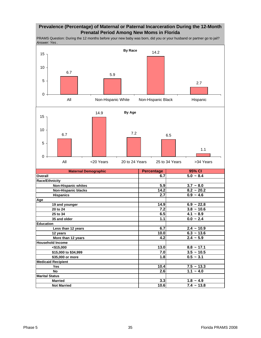#### **Prevalence (Percentage) of Maternal or Paternal Incarceration During the 12-Month Prenatal Period Among New Moms in Florida**

PRAMS Question: During the 12 months before your new baby was born, did you or your husband or partner go to jail? *Answer: Yes* .

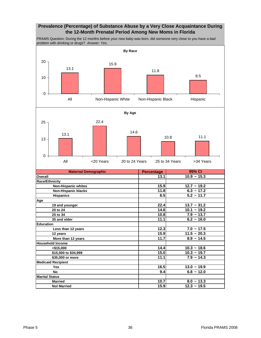### **Prevalence (Percentage) of Substance Abuse by a Very Close Acquaintance During the 12-Month Prenatal Period Among New Moms in Florida**

PRAMS Question: During the 12 months before your new baby was born, did someone very close to you have a bad problem with drinking or drugs? *Answer: Yes.* 

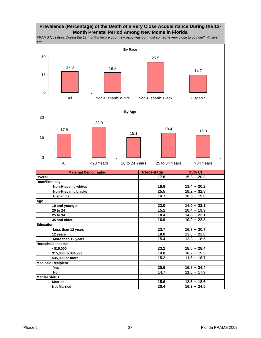### **Prevalence (Percentage) of the Death of a Very Close Acquaintance During the 12- Month Prenatal Period Among New Moms in Florida**

**Maternal Demographic Percentage Overall 17.8 15.3 ~ 20.3 Race/Ethnicity 16.8** 13.4 ~ 20.2  **Non-Hispanic blacks** 25.5 18.2 ~ 32.8 **Hispanics 14.7** 10.5 ~ 19.0 **Age 19 and younger 23.0 14.0 ~ 32.1 20 to 24 15.1 10.4 ~ 19.9 25 to 34 18.4 14.8 ~ 22.1 35 and older 16.9 10.9 ~ 22.8 Education Less than 12 years 23.7 16.7** ~ 30.7  **12 years 18.0 13.3 ~ 22.6 More than 12 years 15.4** 12.3 ~ 18.5 **Household Income 18.0 ~ 28.4 18.0 ~ 28.4 18.0 ~ 28.4 \$15,000 to \$34,999 14.8 10.2 ~ 19.5 \$35,000 or more 15.2 11.6 ~ 18.7 Medicaid Recipient Yes 20.6 16.8 ~ 24.4 No 14.7** 11.6 ~ 17.9 **Marital Status Married 12.5 ~ 18.6 Not Married 20.4** 16.3 ~ 24.5 PRAMS Question: During the 12 months before your new baby was born, did someone very close to you die? *Answer: Yes.*  **95% CI By Race** 17.8 16.8 25.5 14.7 0 15 30 All Mon-Hispanic White Non-Hispanic Black Hispanic **By Age** 17.8 23.0 15.1 18.4 16.9 0 15 30 All <20 Years 20 to 24 Years 25 to 34 Years >34 Years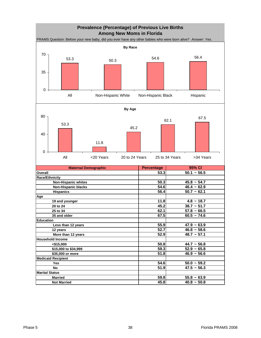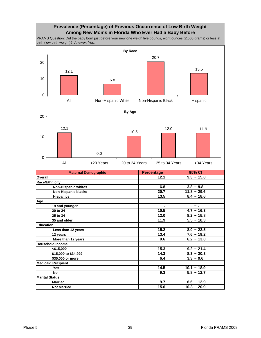## **Prevalence (Percentage) of Previous Occurrence of Low Birth Weight Among New Moms in Florida Who Ever Had a Baby Before**

PRAMS Question: Did the baby born just before your new one weigh five pounds, eight ounces (2,500 grams) or less at birth (low birth weight)? *Answer: Yes.* 

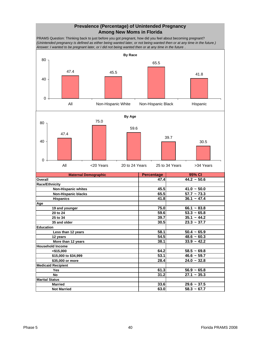#### **Prevalence (Percentage) of Unintended Pregnancy Among New Moms in Florida**

PRAMS Question: Thinking back to just before you got pregnant, how did you feel about becoming pregnant? *(Unintended pregnancy is defined as either being wanted later, or not being wanted then or at any time in the future.) Answer: I wanted to be pregnant later, or I did not being wanted then or at any time in the future* .

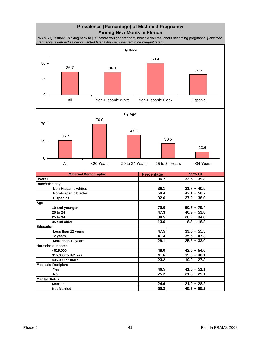# **Prevalence (Percentage) of Mistimed Pregnancy Among New Moms in Florida**

PRAMS Question: Thinking back to just before you got pregnant, how did you feel about becoming pregnant? *(Mistimed pregnancy is defined as being wanted later.) Answer: I wanted to be pregant later* .





| <b>Maternal Demographic</b> | <b>Percentage</b> | 95% CI        |
|-----------------------------|-------------------|---------------|
| Overall                     | 36.7              | $33.5 - 39.8$ |
| Race/Ethnicity              |                   |               |
| <b>Non-Hispanic whites</b>  | 36.1              | $31.7 - 40.5$ |
| <b>Non-Hispanic blacks</b>  | 50.4              | $42.1 - 58.7$ |
| <b>Hispanics</b>            | 32.6              | $27.2 - 38.0$ |
| Age                         |                   |               |
| 19 and younger              | 70.0              | $60.7 - 79.4$ |
| 20 to 24                    | 47.3              | $40.9 - 53.8$ |
| 25 to 34                    | 30.5              | $26.2 - 34.8$ |
| 35 and older                | 13.6              | $8.3 - 18.8$  |
| <b>Education</b>            |                   |               |
| Less than 12 years          | 47.5              | $39.6 - 55.5$ |
| 12 years                    | 41.4              | $35.6 - 47.3$ |
| More than 12 years          | 29.1              | $25.2 - 33.0$ |
| <b>Household Income</b>     |                   |               |
| $<$ \$15,000                | 48.0              | $42.0 - 54.0$ |
| \$15,000 to \$34,999        | 41.6              | $35.0 - 48.1$ |
| \$35,000 or more            | 23.2              | $19.0 - 27.3$ |
| <b>Medicaid Recipient</b>   |                   |               |
| Yes                         | 46.5              | $41.8 - 51.1$ |
| <b>No</b>                   | 25.2              | $21.3 - 29.1$ |
| <b>Marital Status</b>       |                   |               |
| <b>Married</b>              | 24.6              | $21.0 - 28.2$ |
| <b>Not Married</b>          | 50.2              | $45.3 - 55.2$ |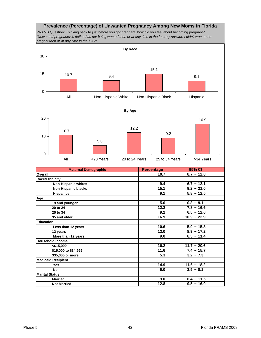#### **Prevalence (Percentage) of Unwanted Pregnancy Among New Moms in Florida**

PRAMS Question: Thinking back to just before you got pregnant, how did you feel about becoming pregnant? *(Unwanted pregnancy is defined as not being wanted then or at any time in the future.) Answer: I didn't want to be pregant then or at any time in the future* .

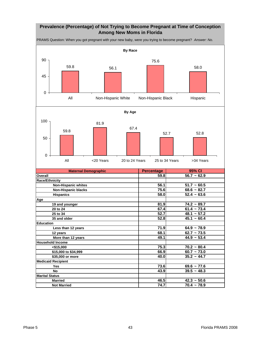## **Prevalence (Percentage) of Not Trying to Become Pregnant at Time of Conception Among New Moms in Florida**

PRAMS Question: When you got pregnant with your new baby, were you trying to become pregnant? *Answer: No.* 

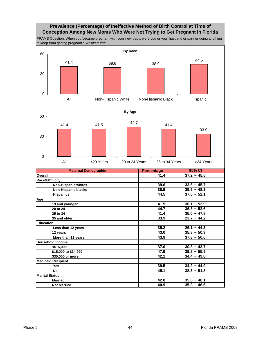### **Prevalence (Percentage) of Ineffective Method of Birth Control at Time of Conception Among New Moms Who Were Not Trying to Get Pregnant in Florida**

PRAMS Question: When you became pregnant with your new baby, were you or your husband or partner doing anything to keep from getting pregnant? *Answer: Yes.* 

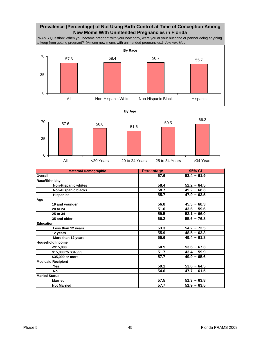## **Prevalence (Percentage) of Not Using Birth Control at Time of Conception Among New Moms With Unintended Pregnancies in Florida**

PRAMS Question: When you became pregnant with your new baby, were you or your husband or partner doing anything to keep from getting pregnant? (Among new moms with unintended pregnancies.) *Answer: No* .

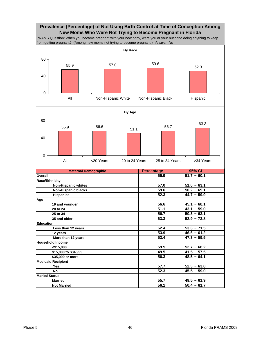## **Prevalence (Percentage) of Not Using Birth Control at Time of Conception Among New Moms Who Were Not Trying to Become Pregnant in Florida**

PRAMS Question: When you became pregnant with your new baby, were you or your husband doing anything to keep from getting pregnant? (Among new moms not trying to become pregnant.) *Answer: No* .



| <b>Maternal Demographic</b> | <b>Percentage</b> | 95% CI        |
|-----------------------------|-------------------|---------------|
| Overall                     | 55.9              | $51.7 - 60.1$ |
| <b>Race/Ethnicity</b>       |                   |               |
| <b>Non-Hispanic whites</b>  | 57.0              | $51.0 - 63.1$ |
| <b>Non-Hispanic blacks</b>  | 59.6              | $50.2 - 69.1$ |
| <b>Hispanics</b>            | 52.3              | $44.7 - 59.9$ |
| Age                         |                   |               |
| 19 and younger              | 56.6              | $45.1 - 68.1$ |
| 20 to 24                    | 51.1              | $43.1 - 59.0$ |
| 25 to 34                    | $\overline{56.7}$ | $50.3 - 63.1$ |
| 35 and older                | 63.3              | $52.9 - 73.8$ |
| <b>Education</b>            |                   |               |
| Less than 12 years          | 62.4              | $53.3 - 71.5$ |
| 12 years                    | 53.9              | $46.6 - 61.2$ |
| More than 12 years          | 53.4              | $47.3 - 59.5$ |
| <b>Household Income</b>     |                   |               |
| < \$15,000                  | 59.5              | $52.7 - 66.2$ |
| \$15,000 to \$34,999        | 49.5              | $41.5 - 57.5$ |
| \$35,000 or more            | 56.3              | $48.5 - 64.1$ |
| <b>Medicaid Recipient</b>   |                   |               |
| Yes                         | 57.7              | $52.3 - 63.0$ |
| <b>No</b>                   | 52.3              | $45.5 - 59.0$ |
| <b>Marital Status</b>       |                   |               |
| <b>Married</b>              | 55.7              | $49.5 - 61.9$ |
| <b>Not Married</b>          | 56.1              | $50.4 - 61.7$ |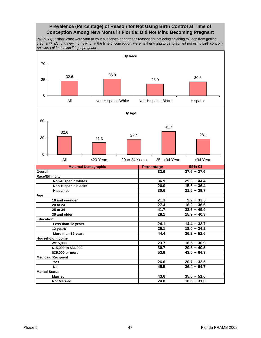#### **Prevalence (Percentage) of Reason for Not Using Birth Control at Time of Conception Among New Moms in Florida: Did Not Mind Becoming Pregnant**

PRAMS Question: What were your or your husband's or partner's reasons for not doing anything to keep from getting pregnant? (Among new moms who, at the time of conception, were neither trying to get pregnant nor using birth control.) *Answer: I did not mind if I got pregnant* .

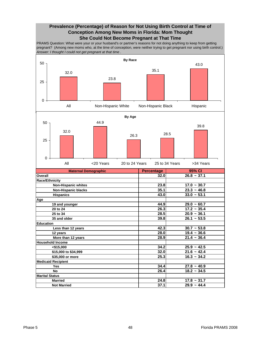#### **Prevalence (Percentage) of Reason for Not Using Birth Control at Time of Conception Among New Moms in Florida: Mom Thought She Could Not Become Pregnant at That Time**

PRAMS Question: What were your or your husband's or partner's reasons for not doing anything to keep from getting pregnant? (Among new moms who, at the time of conception, were neither trying to get pregnant nor using birth control.) *Answer: I thought I could not get pregnant at that time* .

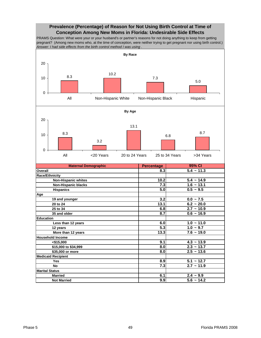### **Prevalence (Percentage) of Reason for Not Using Birth Control at Time of Conception Among New Moms in Florida: Undesirable Side Effects**

PRAMS Question: What were your or your husband's or partner's reasons for not doing anything to keep from getting pregnant? (Among new moms who, at the time of conception, were neither trying to get pregnant nor using birth control.) *Answer: I had side effects from the birth control method I was using* .



 **Not Married 9.9 5.6 ~ 14.2**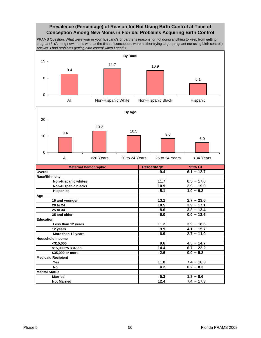## **Prevalence (Percentage) of Reason for Not Using Birth Control at Time of Conception Among New Moms in Florida: Problems Acquiring Birth Control**

PRAMS Question: What were your or your husband's or partner's reasons for not doing anything to keep from getting pregnant? (Among new moms who, at the time of conception, were neither trying to get pregnant nor using birth control.) *Answer: I had problems getting birth control when I need it* .

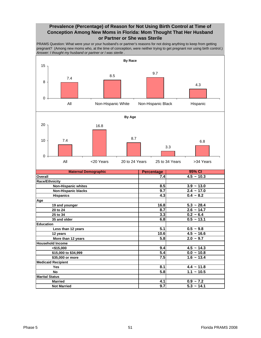### **Prevalence (Percentage) of Reason for Not Using Birth Control at Time of Conception Among New Moms in Florida: Mom Thought That Her Husband or Partner or She was Sterile**

PRAMS Question: What were your or your husband's or partner's reasons for not doing anything to keep from getting pregnant? (Among new moms who, at the time of conception, were neither trying to get pregnant nor using birth control.) *Answer: I thought my husband or partner or I was sterile* .

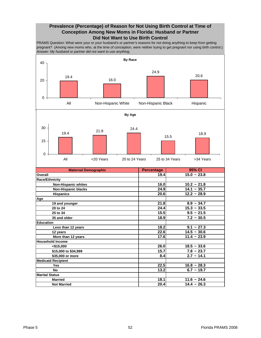## **Prevalence (Percentage) of Reason for Not Using Birth Control at Time of Conception Among New Moms in Florida: Husband or Partner Did Not Want to Use Birth Control**

PRAMS Question: What were your or your husband's or partner's reasons for not doing anything to keep from getting pregnant? (Among new moms who, at the time of conception, were neither trying to get pregnant nor using birth control.) *Answer: My husband or partner did not want to use anything.* 



| lOverall                   | 19.4I | $15.0 - 23.8$   |
|----------------------------|-------|-----------------|
| <b>Race/Ethnicity</b>      |       |                 |
| <b>Non-Hispanic whites</b> | 16.0  | $10.2 - 21.8$   |
| <b>Non-Hispanic blacks</b> | 24.9  | $14.1 - 35.7$   |
| <b>Hispanics</b>           | 20.6  | $12.2 - 28.9$   |
| Age                        |       |                 |
| 19 and younger             | 21.8  | $8.9 - 34.7$    |
| 20 to 24                   | 24.4  | $15.3 - 33.5$   |
| 25 to 34                   | 15.5  | $9.5 - 21.5$    |
| 35 and older               | 18.9  | $7.2 - 30.5$    |
| <b>Education</b>           |       |                 |
| Less than 12 years         | 18.2  | $9.1 \sim 27.3$ |
| 12 years                   | 22.6  | $14.5 - 30.6$   |
| More than 12 years         | 17.6  | $11.4 - 23.9$   |
| <b>Household Income</b>    |       |                 |
| $<$ \$15,000               | 26.0  | $18.5 - 33.6$   |
| \$15,000 to \$34,999       | 15.7  | $7.8 \sim 23.7$ |
| \$35,000 or more           | 8.4   | $2.7 - 14.1$    |
| <b>Medicaid Recipient</b>  |       |                 |
| <b>Yes</b>                 | 22.5  | $16.8 - 28.3$   |
| No                         | 13.2  | $6.7 - 19.7$    |
| <b>Marital Status</b>      |       |                 |
| <b>Married</b>             | 18.1  | $11.6 - 24.6$   |
| <b>Not Married</b>         | 20.4  | $14.4 - 26.3$   |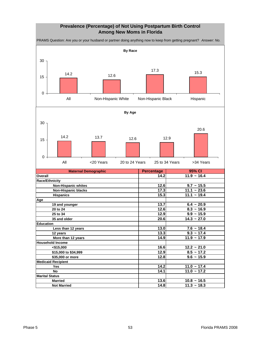## **Prevalence (Percentage) of Not Using Postpartum Birth Control Among New Moms in Florida**

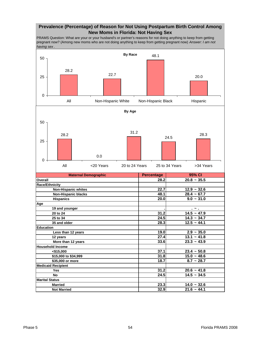### **Prevalence (Percentage) of Reason for Not Using Postpartum Birth Control Among New Moms in Florida: Not Having Sex**

PRAMS Question: What are your or your husband's or partner's reasons for not doing anything to keep from getting pregnant now? (Among new moms who are not doing anything to keep from getting pregnant now) *Answer: I am not having sex* .

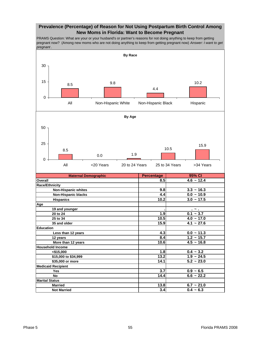### **Prevalence (Percentage) of Reason for Not Using Postpartum Birth Control Among New Moms in Florida: Want to Become Pregnant**

PRAMS Question: What are your or your husband's or partner's reasons for not doing anything to keep from getting pregnant now? (Among new moms who are not doing anything to keep from getting pregnant now) *Answer: I want to get pregnant* .

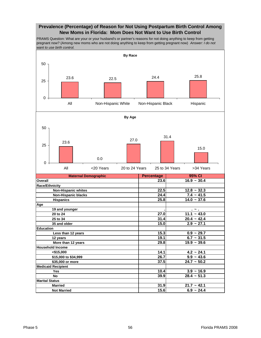### **Prevalence (Percentage) of Reason for Not Using Postpartum Birth Control Among New Moms in Florida: Mom Does Not Want to Use Birth Control**

PRAMS Question: What are your or your husband's or partner's reasons for not doing anything to keep from getting pregnant now? (Among new moms who are not doing anything to keep from getting pregnant now) *Answer: I do not want to use birth control.* 

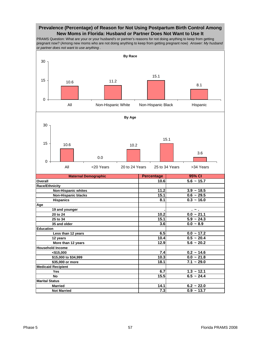#### **Prevalence (Percentage) of Reason for Not Using Postpartum Birth Control Among New Moms in Florida: Husband or Partner Does Not Want to Use It**

PRAMS Question: What are your or your husband's or partner's reasons for not doing anything to keep from getting pregnant now? (Among new moms who are not doing anything to keep from getting pregnant now) *Answer: My husband or partner does not want to use anything* .

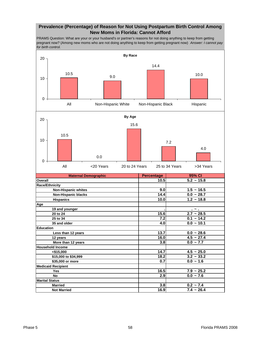### **Prevalence (Percentage) of Reason for Not Using Postpartum Birth Control Among New Moms in Florida: Cannot Afford**

PRAMS Question: What are your or your husband's or partner's reasons for not doing anything to keep from getting pregnant now? (Among new moms who are not doing anything to keep from getting pregnant now) *Answer: I cannot pay for birth control.* 

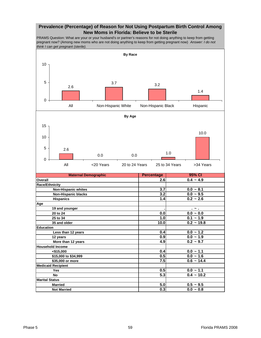#### **Prevalence (Percentage) of Reason for Not Using Postpartum Birth Control Among New Moms in Florida: Believe to be Sterile**

PRAMS Question: What are your or your husband's or partner's reasons for not doing anything to keep from getting pregnant now? (Among new moms who are not doing anything to keep from getting pregnant now) *Answer: I do not think I can get pregnant (sterile).* 

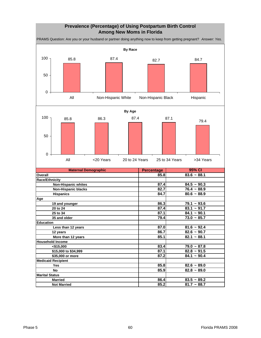## **Prevalence (Percentage) of Using Postpartum Birth Control Among New Moms in Florida**

PRAMS Question: Are you or your husband or partner doing anything now to keep from getting pregnant? *Answer: Yes.* 

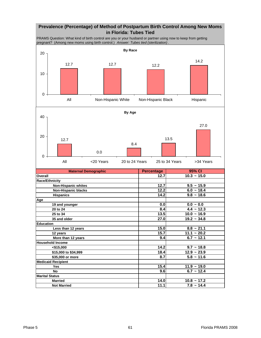# **Prevalence (Percentage) of Method of Postpartum Birth Control Among New Moms in Florida: Tubes Tied**

PRAMS Question: What kind of birth control are you or your husband or partner using now to keep from getting pregnant? (Among new moms using birth control.) *Answer: Tubes tied (sterilization)* .



| <b>Maternal Demographic</b> | <b>Percentage</b> | 95% CI          |
|-----------------------------|-------------------|-----------------|
| Overall                     | 12.7              | $10.3 - 15.0$   |
| <b>Race/Ethnicity</b>       |                   |                 |
| <b>Non-Hispanic whites</b>  | 12.7              | $9.5 - 15.9$    |
| <b>Non-Hispanic blacks</b>  | 12.2              | $6.0 - 18.4$    |
| <b>Hispanics</b>            | 14.2              | $9.8 - 18.6$    |
| Age                         |                   |                 |
| 19 and younger              | 0.0               | $0.0 - 0.0$     |
| 20 to 24                    | 8.4               | $4.4 \sim 12.3$ |
| 25 to 34                    | 13.5              | $10.0 - 16.9$   |
| 35 and older                | 27.0              | $19.2 - 34.8$   |
| <b>Education</b>            |                   |                 |
| Less than 12 years          | 15.0              | $8.8 - 21.1$    |
| 12 years                    | 15.7              | $11.1 - 20.2$   |
| More than 12 years          | 9.4               | $6.7 - 12.1$    |
| <b>Household Income</b>     |                   |                 |
| < \$15,000                  | 14.2              | $9.7 - 18.8$    |
| \$15,000 to \$34,999        | 18.4              | $12.9 - 23.9$   |
| \$35,000 or more            | 8.7               | $5.8 - 11.6$    |
| <b>Medicaid Recipient</b>   |                   |                 |
| Yes                         | 15.4              | $11.9 - 19.0$   |
| <b>No</b>                   | 9.6               | $6.7 - 12.4$    |
| <b>Marital Status</b>       |                   |                 |
| <b>Married</b>              | 14.0              | $10.8 - 17.2$   |
| <b>Not Married</b>          | 11.1              | $7.8 \sim 14.4$ |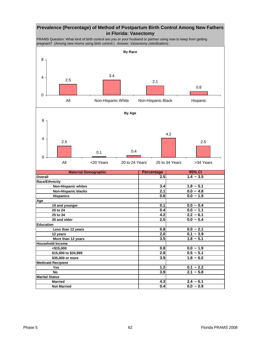### **Prevalence (Percentage) of Method of Postpartum Birth Control Among New Fathers in Florida: Vasectomy**

PRAMS Question: What kind of birth control are you or your husband or partner using now to keep from getting pregnant? (Among new moms using birth control.) *Answer: Vasectomy (sterilization)*.

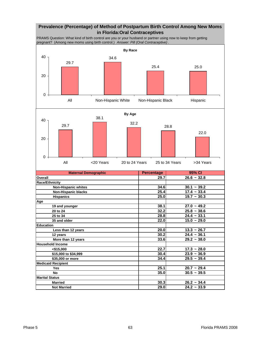# **Prevalence (Percentage) of Method of Postpartum Birth Control Among New Moms in Florida:Oral Contraceptives**

PRAMS Question: What kind of birth control are you or your husband or partner using now to keep from getting pregnant? (Among new moms using birth control.) *Answer: Pill (Oral Contraceptive)* .



| <b>Maternal Demographic</b> | <b>Percentage</b> | 95% CI        |
|-----------------------------|-------------------|---------------|
| <b>Overall</b>              | 29.7              | $26.6 - 32.8$ |
| <b>Race/Ethnicity</b>       |                   |               |
| <b>Non-Hispanic whites</b>  | 34.6              | $30.1 - 39.2$ |
| <b>Non-Hispanic blacks</b>  | 25.4              | $17.4 - 33.4$ |
| <b>Hispanics</b>            | 25.0              | $19.7 - 30.3$ |
| Age                         |                   |               |
| 19 and younger              | 38.1              | $27.0 - 49.2$ |
| 20 to 24                    | 32.2              | $25.8 - 38.6$ |
| 25 to 34                    | 28.8              | $24.4 - 33.1$ |
| 35 and older                | 22.0              | $15.0 - 29.0$ |
| <b>Education</b>            |                   |               |
| Less than 12 years          | 20.0              | $13.3 - 26.7$ |
| 12 years                    | 30.2              | $24.4 - 36.1$ |
| More than 12 years          | 33.6              | $29.2 - 38.0$ |
| <b>Household Income</b>     |                   |               |
| < \$15,000                  | 22.7              | $17.3 - 28.0$ |
| \$15,000 to \$34,999        | 30.4              | $23.9 - 36.9$ |
| \$35,000 or more            | 34.4              | $29.5 - 39.4$ |
| <b>Medicaid Recipient</b>   |                   |               |
| Yes                         | 25.1              | $20.7 - 29.4$ |
| No                          | 35.0              | $30.5 - 39.5$ |
| <b>Marital Status</b>       |                   |               |
| <b>Married</b>              | 30.3              | $26.2 - 34.4$ |
| <b>Not Married</b>          | 29.0              | $24.2 - 33.9$ |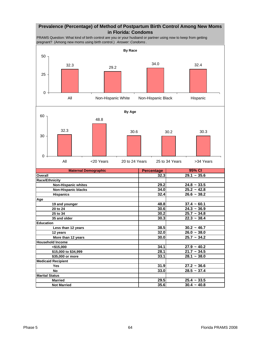### **Prevalence (Percentage) of Method of Postpartum Birth Control Among New Moms in Florida: Condoms**

PRAMS Question: What kind of birth control are you or your husband or partner using now to keep from getting pregnant? (Among new moms using birth control.) *Answer: Condoms* .



| More than 12 years        | 30.UI | $25.1 \approx 34.2$ |
|---------------------------|-------|---------------------|
| <b>Household Income</b>   |       |                     |
| $<$ \$15,000              | 34.1  | $27.9 - 40.2$       |
| \$15,000 to \$34,999      | 28.1  | $21.7 - 34.5$       |
| \$35,000 or more          | 33.1  | $28.1 - 38.0$       |
| <b>Medicaid Recipient</b> |       |                     |
| Yes                       | 31.9  | $27.2 - 36.6$       |
| No                        | 33.0  | $28.5 - 37.4$       |
| <b>Marital Status</b>     |       |                     |
| <b>Married</b>            | 29.5  | $25.4 - 33.5$       |
| <b>Not Married</b>        | 35.6  | $30.4 - 40.8$       |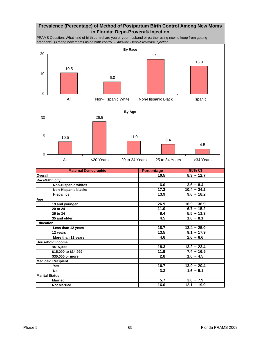## **Prevalence (Percentage) of Method of Postpartum Birth Control Among New Moms in Florida: Depo-Provera® Injection**

PRAMS Question: What kind of birth control are you or your husband or partner using now to keep from getting pregnant? (Among new moms using birth control.) *Answer: Depo-Provera® Injection* .





| <b>Maternal Demographic</b> | <b>Percentage</b> | 95% CI        |
|-----------------------------|-------------------|---------------|
| Overall                     | 10.5              | $8.3 - 12.7$  |
| <b>Race/Ethnicity</b>       |                   |               |
| <b>Non-Hispanic whites</b>  | 6.0               | $3.6 - 8.4$   |
| <b>Non-Hispanic blacks</b>  | 17.3              | $10.4 - 24.2$ |
| <b>Hispanics</b>            | 13.9              | $9.6 - 18.2$  |
| Age                         |                   |               |
| 19 and younger              | 26.9              | $16.9 - 36.9$ |
| 20 to 24                    | 11.0              | $6.7 - 15.2$  |
| 25 to 34                    | 8.4               | $5.5 - 11.3$  |
| 35 and older                | 4.5               | $1.0 - 8.1$   |
| <b>Education</b>            |                   |               |
| Less than 12 years          | 18.7              | $12.4 - 25.0$ |
| 12 years                    | 13.5              | $9.1 - 17.9$  |
| More than 12 years          | 4.6               | $2.6 - 6.6$   |
| <b>Household Income</b>     |                   |               |
| $<$ \$15,000                | 18.3              | $13.2 - 23.4$ |
| \$15,000 to \$34,999        | 11.9              | $7.4 - 16.5$  |
| \$35,000 or more            | 2.8               | $1.0 - 4.5$   |
| <b>Medicaid Recipient</b>   |                   |               |
| Yes                         | 16.7              | $13.0 - 20.4$ |
| <b>No</b>                   | 3.3               | $1.6 - 5.1$   |
| <b>Marital Status</b>       |                   |               |
| <b>Married</b>              | 5.7               | $3.6 - 7.9$   |
| <b>Not Married</b>          | 16.0              | $12.1 - 19.9$ |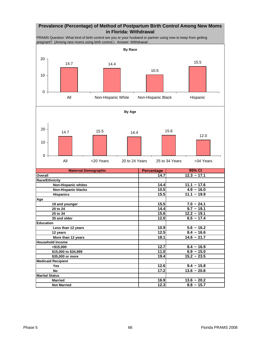## **Prevalence (Percentage) of Method of Postpartum Birth Control Among New Moms in Florida: Withdrawal**

PRAMS Question: What kind of birth control are you or your husband or partner using now to keep from getting pregnant? (Among new moms using birth control.) Answer: Withdrawal



| <b>Maternal Demographic</b> | <b>Percentage</b> | 95% CI          |
|-----------------------------|-------------------|-----------------|
| Overall                     | 14.7              | $12.3 - 17.1$   |
| <b>Race/Ethnicity</b>       |                   |                 |
| <b>Non-Hispanic whites</b>  | 14.4              | $11.1 - 17.6$   |
| <b>Non-Hispanic blacks</b>  | 10.5              | $4.9 - 16.0$    |
| <b>Hispanics</b>            | 15.5              | $11.1 - 19.9$   |
| Age                         |                   |                 |
| 19 and younger              | 15.5              | $7.0 - 24.1$    |
| 20 to 24                    | 14.4              | $9.7 - 19.1$    |
| 25 to 34                    | 15.6              | $12.2 - 19.1$   |
| 35 and older                | 12.0              | $6.5 - 17.4$    |
| <b>Education</b>            |                   |                 |
| Less than 12 years          | 10.9              | $5.6 - 16.2$    |
| 12 years                    | 12.5              | $8.4 - 16.6$    |
| More than 12 years          | 18.1              | $14.6 - 21.7$   |
| <b>Household Income</b>     |                   |                 |
| $<$ \$15,000                | 12.7              | $8.4 - 16.9$    |
| \$15,000 to \$34,999        | 11.0              | $6.9 - 15.0$    |
| \$35,000 or more            | 19.4              | $15.2 - 23.5$   |
| <b>Medicaid Recipient</b>   |                   |                 |
| <b>Yes</b>                  | 12.6              | $9.4 - 15.8$    |
| <b>No</b>                   | 17.2              | $13.6 - 20.8$   |
| <b>Marital Status</b>       |                   |                 |
| <b>Married</b>              | 16.9              | $13.6 - 20.2$   |
| <b>Not Married</b>          | 12.3              | $8.8 \sim 15.7$ |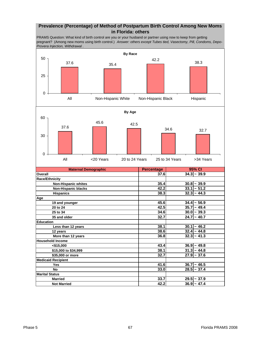#### **Prevalence (Percentage) of Method of Postpartum Birth Control Among New Moms in Florida: others**

PRAMS Question: What kind of birth control are you or your husband or partner using now to keep from getting pregnant? (Among new moms using birth control.) *Answer: others except Tubes tied, Vasectomy, Pill, Condoms, Depo-Provera Injection, Withdrawal* .

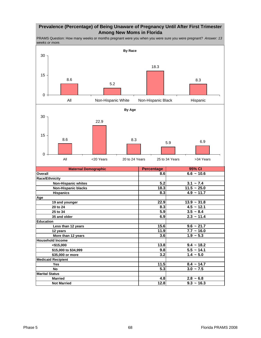### **Prevalence (Percentage) of Being Unaware of Pregnancy Until After First Trimester Among New Moms in Florida**

PRAMS Question: How many weeks or months pregnant were you when you were sure you were pregnant? *Answer: 13 weeks or more.* 

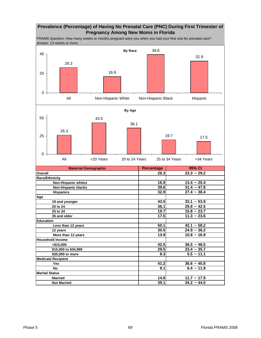# **Prevalence (Percentage) of Having No Prenatal Care (PNC) During First Trimester of Pregnancy Among New Moms in Florida**

PRAMS Question: How many weeks or months pregnant were you when you had your first visit for prenatal care? *Answer: 13 weeks or more.* 

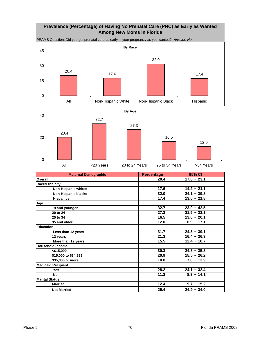# **Prevalence (Percentage) of Having No Prenatal Care (PNC) as Early as Wanted Among New Moms in Florida**

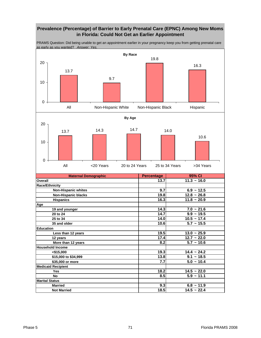# **Prevalence (Percentage) of Barrier to Early Prenatal Care (EPNC) Among New Moms in Florida: Could Not Get an Earlier Appointment**



PRAMS Question: Did being unable to get an appointment earlier in your pregnancy keep you from getting prenatal care as early as you wanted? *Answer: Yes.*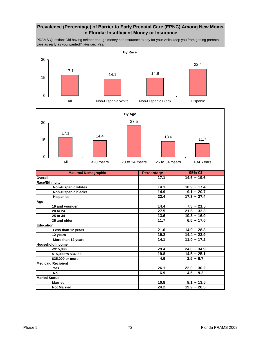# **Prevalence (Percentage) of Barrier to Early Prenatal Care (EPNC) Among New Moms in Florida: Insufficient Money or Insurance**

PRAMS Question: Did having neither enough money nor insurance to pay for your visits keep you from getting prenatal care as early as you wanted? *Answer: Yes.* 



| 19 and younger            | 14.4 | $7.3 - 21.5$   |
|---------------------------|------|----------------|
| 20 to 24                  | 27.5 | $21.6 - 33.3$  |
| 25 to 34                  | 13.6 | $10.3 - 16.9$  |
| 35 and older              | 11.7 | $6.5 - 17.0$   |
| <b>Education</b>          |      |                |
| Less than 12 years        | 21.6 | $14.9 - 28.3$  |
| 12 years                  | 19.2 | $14.4 - 23.9$  |
| More than 12 years        | 14.1 | $11.0 - 17.2$  |
| <b>Household Income</b>   |      |                |
| $<$ \$15,000              | 29.4 | $24.0 - 34.9$  |
| \$15,000 to \$34,999      | 19.8 | $14.5 - 25.1$  |
| \$35,000 or more          | 4.6  | $2.5 - 6.7$    |
| <b>Medicaid Recipient</b> |      |                |
| Yes                       | 26.1 | $22.0 - 30.2$  |
| No                        | 6.9  | $4.5 \sim 9.2$ |
| <b>Marital Status</b>     |      |                |
| <b>Married</b>            | 10.8 | $8.1 - 13.5$   |
| <b>Not Married</b>        | 24.2 | $19.9 - 28.5$  |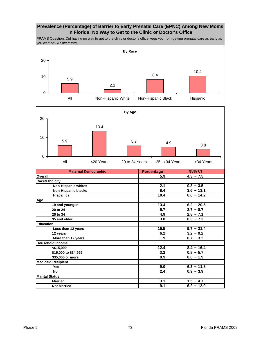## **Prevalence (Percentage) of Barrier to Early Prenatal Care (EPNC) Among New Moms in Florida: No Way to Get to the Clinic or Doctor's Office**

PRAMS Question: Did having no way to get to the clinic or doctor's office keep you from getting prenatal care as early as you wanted? *Answer: Yes* .

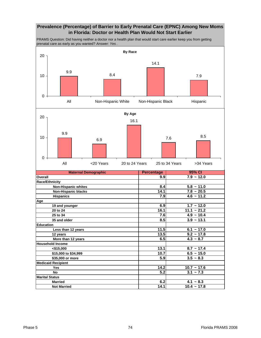# **Prevalence (Percentage) of Barrier to Early Prenatal Care (EPNC) Among New Moms in Florida: Doctor or Health Plan Would Not Start Earlier**

PRAMS Question: Did having neither a doctor nor a health plan that would start care earlier keep you from getting prenatal care as early as you wanted? *Answer: Yes* .

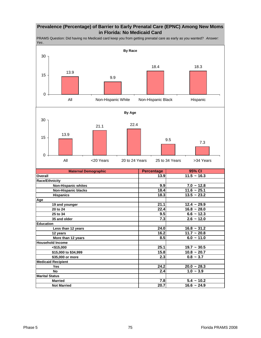# **Prevalence (Percentage) of Barrier to Early Prenatal Care (EPNC) Among New Moms in Florida: No Medicaid Card**

PRAMS Question: Did having no Medicaid card keep you from getting prenatal care as early as you wanted? *Answer: Yes* .

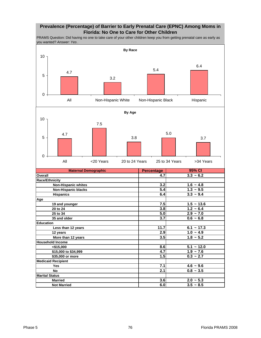## **Prevalence (Percentage) of Barrier to Early Prenatal Care (EPNC) Among Moms in Florida: No One to Care for Other Children**

PRAMS Question: Did having no one to take care of your other children keep you from getting prenatal care as early as you wanted? *Answer: Yes* .

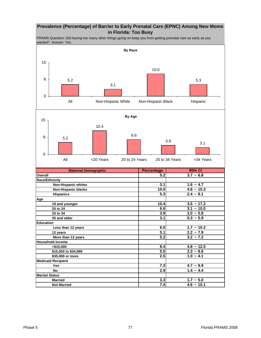## **Prevalence (Percentage) of Barrier to Early Prenatal Care (EPNC) Among New Moms in Florida: Too Busy**

PRAMS Question: Did having too many other things going on keep you from getting prenatal care as early as you wanted? *Answer: Yes* .

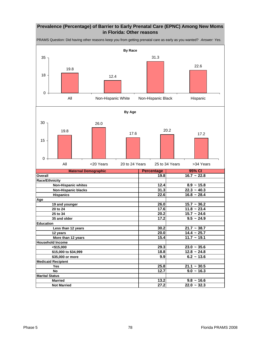# **Prevalence (Percentage) of Barrier to Early Prenatal Care (EPNC) Among New Moms in Florida: Other reasons**

PRAMS Question: Did having other reasons keep you from getting prenatal care as early as you wanted? *Answer: Yes.* 

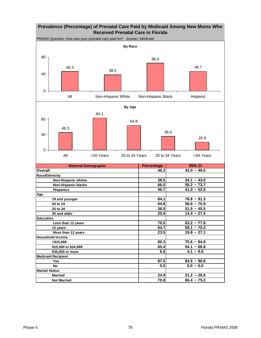

| <b>Maternal Demographic</b> | <b>Percentage</b> | 95% CI        |
|-----------------------------|-------------------|---------------|
| Overall                     | 46.3              | $43.0 - 49.5$ |
| <b>Race/Ethnicity</b>       |                   |               |
| <b>Non-Hispanic whites</b>  | 38.5              | $34.1 - 43.0$ |
| <b>Non-Hispanic blacks</b>  | 66.0              | $58.2 - 73.7$ |
| <b>Hispanics</b>            | 46.7              | $41.0 - 52.5$ |
| Age                         |                   |               |
| 19 and younger              | 84.1              | $76.8 - 91.3$ |
| 20 to 24                    | 64.8              | $58.6 - 70.9$ |
| 25 to 34                    | 36.0              | $31.5 - 40.5$ |
| 35 and older                | 20.9              | $14.4 - 27.4$ |
| <b>Education</b>            |                   |               |
| Less than 12 years          | 70.5              | $63.2 - 77.8$ |
| 12 years                    | 64.7              | $59.1 - 70.3$ |
| More than 12 years          | 23.5              | $19.8 - 27.1$ |
| <b>Household Income</b>     |                   |               |
| $<$ \$15,000                | 80.3              | $75.6 - 84.9$ |
| \$15,000 to \$34,999        | 60.4              | $54.1 - 66.8$ |
| \$35,000 or more            | 6.5               | $4.1 - 9.0$   |
| <b>Medicaid Recipient</b>   |                   |               |
| <b>Yes</b>                  | 87.5              | $84.5 - 90.6$ |
| <b>No</b>                   | 0.0               | $0.0 - 0.0$   |
| <b>Marital Status</b>       |                   |               |
| <b>Married</b>              | 24.9              | $21.2 - 28.6$ |
| <b>Not Married</b>          | 70.8              | $66.4 - 75.2$ |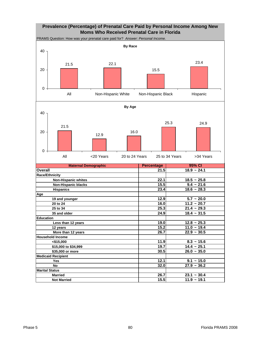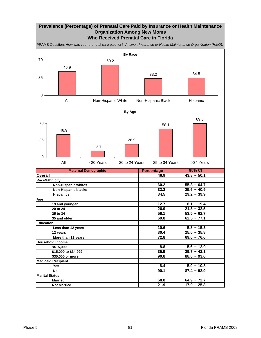## **Prevalence (Percentage) of Prenatal Care Paid by Insurance or Health Maintenance Organization Among New Moms Who Received Prenatal Care in Florida**

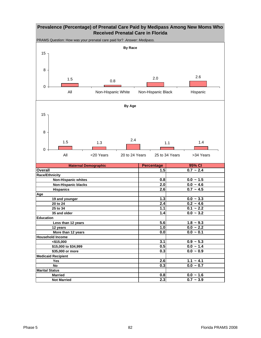# **Prevalence (Percentage) of Prenatal Care Paid by Medipass Among New Moms Who Received Prenatal Care in Florida**

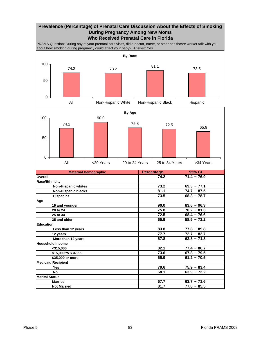#### **Prevalence (Percentage) of Prenatal Care Discussion About the Effects of Smoking During Pregnancy Among New Moms Who Received Prenatal Care in Florida**

PRAMS Question: During any of your prenatal care visits, did a doctor, nurse, or other healthcare worker talk with you about how smoking during pregnancy could affect your baby? *Answer: Yes.* 

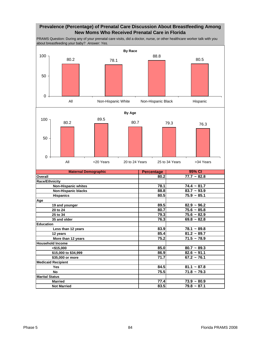## **Prevalence (Percentage) of Prenatal Care Discussion About Breastfeeding Among New Moms Who Received Prenatal Care in Florida**

PRAMS Question: During any of your prenatal care visits, did a doctor, nurse, or other healthcare worker talk with you about breastfeeding your baby? *Answer: Yes.* 

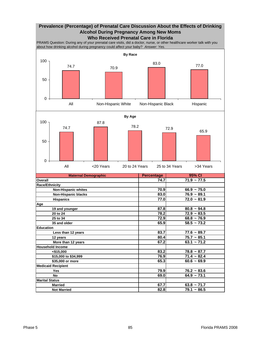## **Prevalence (Percentage) of Prenatal Care Discussion About the Effects of Drinking Alcohol During Pregnancy Among New Moms Who Received Prenatal Care in Florida**

PRAMS Question: During any of your prenatal care visits, did a doctor, nurse, or other healthcare worker talk with you about how drinking alcohol during pregnancy could affect your baby? *Answer: Yes.* 

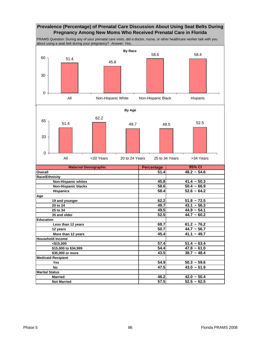# **Prevalence (Percentage) of Prenatal Care Discussion About Using Seat Belts During Pregnancy Among New Moms Who Received Prenatal Care in Florida**

PRAMS Question: During any of your prenatal care visits, did a doctor, nurse, or other healthcare worker talk with you about using a seat belt during your pregnancy? *Answer: Yes.* 

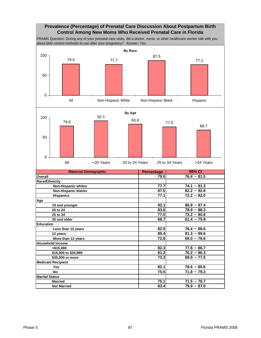#### **Prevalence (Percentage) of Prenatal Care Discussion About Postpartum Birth Control Among New Moms Who Received Prenatal Care in Florida**

PRAMS Question: During any of your prenatal care visits, did a doctor, nurse, or other healthcare worker talk with you about birth control methods to use after your pregnancy? *Answer: Yes.* 

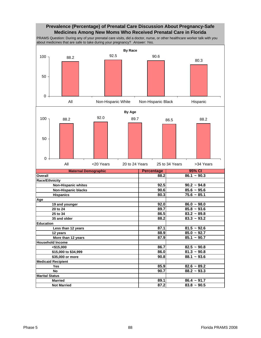#### **Prevalence (Percentage) of Prenatal Care Discussion About Pregnancy-Safe Medicines Among New Moms Who Received Prenatal Care in Florida**

PRAMS Question: During any of your prenatal care visits, did a doctor, nurse, or other healthcare worker talk with you about medicines that are safe to take during your pregnancy? *Answer: Yes.* 

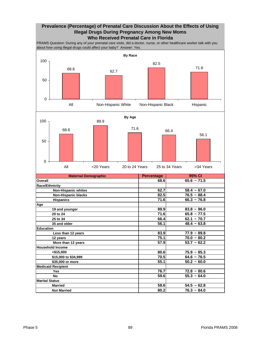# **Prevalence (Percentage) of Prenatal Care Discussion About the Effects of Using Illegal Drugs During Pregnancy Among New Moms Who Received Prenatal Care in Florida**

PRAMS Question: During any of your prenatal care visits, did a doctor, nurse, or other healthcare worker talk with you about how using illegal drugs could affect your baby? *Answer: Yes.* 

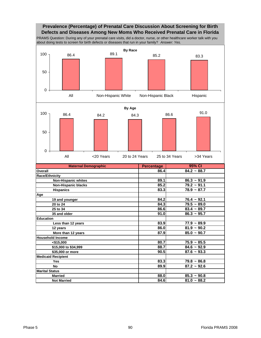#### **Prevalence (Percentage) of Prenatal Care Discussion About Screening for Birth Defects and Diseases Among New Moms Who Received Prenatal Care in Florida**

PRAMS Question: During any of your prenatal care visits, did a doctor, nurse, or other healthcare worker talk with you about doing tests to screen for birth defects or diseases that run in your family? *Answer: Yes.* 

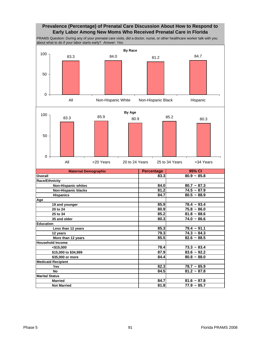## **Prevalence (Percentage) of Prenatal Care Discussion About How to Respond to Early Labor Among New Moms Who Received Prenatal Care in Florida**

PRAMS Question: During any of your prenatal care visits, did a doctor, nurse, or other healthcare worker talk with you about what to do if your labor starts early? *Answer: Yes.* 

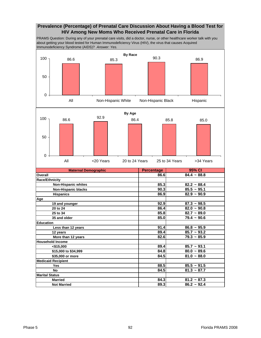## **Prevalence (Percentage) of Prenatal Care Discussion About Having a Blood Test for HIV Among New Moms Who Received Prenatal Care in Florida**

PRAMS Question: During any of your prenatal care visits, did a doctor, nurse, or other healthcare worker talk with you about getting your blood tested for Human Immunodeficiency Virus (HIV), the virus that causes Acquired Immunodeficiency Syndrome (AIDS)? *Answer: Yes.* 



**Marital Status**

 **No 84.5 81.3 ~ 87.7**

**Married** 84.3 81.2 ~ 87.3  **Not Married 89.3 86.2 ~ 92.4**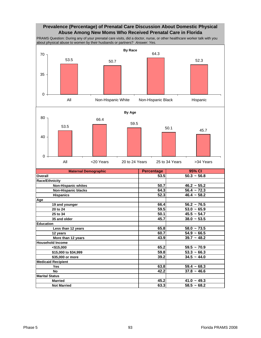# **Prevalence (Percentage) of Prenatal Care Discussion About Domestic Physical Abuse Among New Moms Who Received Prenatal Care in Florida**

PRAMS Question: During any of your prenatal care visits, did a doctor, nurse, or other healthcare worker talk with you about physical abuse to women by their husbands or partners? *Answer: Yes.* 



| 12 years                  | 60.7 | $54.9 - 66.5$    |
|---------------------------|------|------------------|
| More than 12 years        | 43.9 | $39.7 - 48.2$    |
| <b>Household Income</b>   |      |                  |
| $<$ \$15,000              | 65.2 | $59.5 \sim 70.9$ |
| \$15,000 to \$34,999      | 59.8 | $53.3 - 66.3$    |
| \$35,000 or more          | 39.2 | $34.5 - 44.0$    |
| <b>Medicaid Recipient</b> |      |                  |
| <b>Yes</b>                | 63.8 | $59.4 \sim 68.3$ |
| No                        | 42.2 | $37.8 - 46.6$    |
| <b>Marital Status</b>     |      |                  |
| <b>Married</b>            | 45.2 | $41.0 - 49.3$    |
| <b>Not Married</b>        | 63.3 | $58.5 - 68.2$    |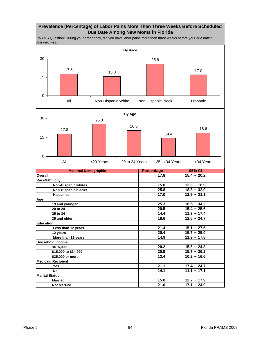## **Prevalence (Percentage) of Labor Pains More Than Three Weeks Before Scheduled Due Date Among New Moms in Florida**

PRAMS Question: During your pregnancy, did you have labor pains more than three weeks before your due date? *Answer: Yes.* 

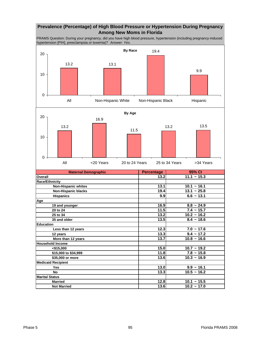# **Prevalence (Percentage) of High Blood Pressure or Hypertension During Pregnancy Among New Moms in Florida**

PRAMS Question: During your pregnancy, did you have high blood pressure, hypertension (including pregnancy-induced hypertension [PIH], preeclampsia or toxemia)? *Answer: Yes.* 

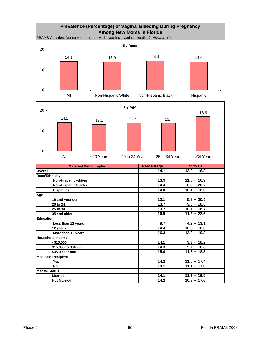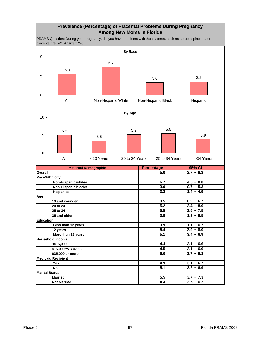## **Prevalence (Percentage) of Placental Problems During Pregnancy Among New Moms in Florida**

PRAMS Question: During your pregnancy, did you have problems with the placenta, such as abruptio placenta or placenta previa? *Answer: Yes.* 

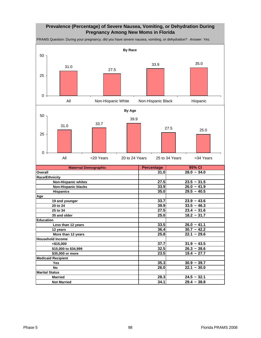# **Prevalence (Percentage) of Severe Nausea, Vomiting, or Dehydration During Pregnancy Among New Moms in Florida**

PRAMS Question: During your pregnancy, did you have severe nausea, vomiting, or dehydration? *Answer: Yes.* 



**Marital Status**

**Married 28.3 24.5 ~ 32.1 Not Married 34.1 29.4 ~ 38.8**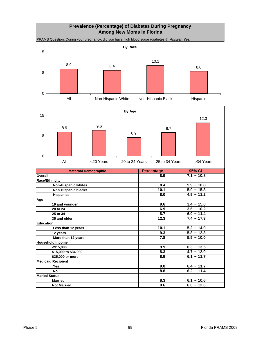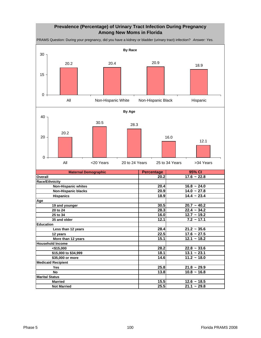# **Prevalence (Percentage) of Urinary Tract Infection During Pregnancy Among New Moms in Florida**

PRAMS Question: During your pregnancy, did you have a kidney or bladder (urinary tract) infection? *Answer: Yes.* 

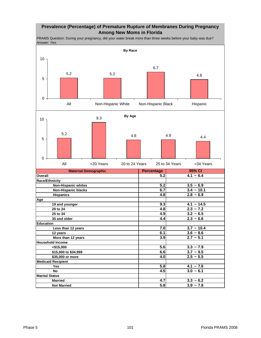# **Prevalence (Percentage) of Premature Rupture of Membranes During Pregnancy Among New Moms in Florida**

PRAMS Question: During your pregnancy, did your water break more than three weeks before your baby was due? *Answer: Yes.* 

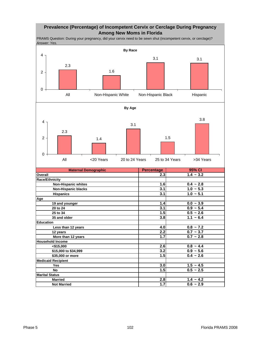## **Prevalence (Percentage) of Incompetent Cervix or Cerclage During Pregnancy Among New Moms in Florida**

PRAMS Question: During your pregnancy, did your cervix need to be sewn shut (incompetent cervix, or cerclage)? *Answer: Yes.* 



| <b>Maternal Demographic</b> | <b>Percentage</b> | 95% CI      |
|-----------------------------|-------------------|-------------|
| Overall                     | 2.3               | $1.4 - 3.2$ |
| Race/Ethnicity              |                   |             |
| <b>Non-Hispanic whites</b>  | 1.6               | $0.4 - 2.8$ |
| <b>Non-Hispanic blacks</b>  | 3.1               | $1.0 - 5.3$ |
| <b>Hispanics</b>            | 3.1               | $1.0 - 5.1$ |
| Age                         |                   |             |
| 19 and younger              | 1.4               | $0.0 - 3.9$ |
| 20 to 24                    | 3.1               | $0.9 - 5.4$ |
| 25 to 34                    | 1.5               | $0.5 - 2.6$ |
| 35 and older                | 3.8               | $1.1 - 6.4$ |
| <b>Education</b>            |                   |             |
| Less than 12 years          | 4.0               | $0.8 - 7.2$ |
| 12 years                    | 2.2               | $0.7 - 3.7$ |
| More than 12 years          | 1.7               | $0.7 - 2.8$ |
| <b>Household Income</b>     |                   |             |
| < \$15,000                  | 2.6               | $0.8 - 4.4$ |
| \$15,000 to \$34,999        | 3.2               | $0.9 - 5.6$ |
| \$35,000 or more            | 1.5               | $0.4 - 2.6$ |
| <b>Medicaid Recipient</b>   |                   |             |
| <b>Yes</b>                  | 3.0               | $1.5 - 4.5$ |
| <b>No</b>                   | 1.5               | $0.5 - 2.5$ |
| <b>Marital Status</b>       |                   |             |
| <b>Married</b>              | 2.8               | $1.4 - 4.2$ |
| <b>Not Married</b>          | 1.7               | $0.6 - 2.9$ |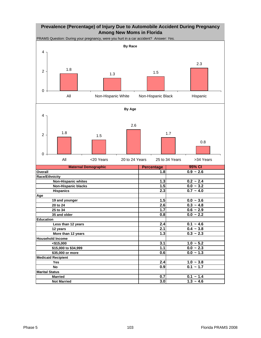# **Prevalence (Percentage) of Injury Due to Automobile Accident During Pregnancy Among New Moms in Florida**

**Maternal Demographic Referential Percentage Overall 1.8 0.9 ~ 2.6 Race/Ethnicity Non-Hispanic whites**  1.3 **1.3 1.3 1.3 1.3 1.4 1.3 1.4 1.4 1.3 1.4 1.4 1.4 1.4 1.4 1.4 1.4 1.4 1.4 1.4 1.4 1.4 1.4 1.4 1.4 1.4 1.4 1.4 1.4 1.4 1.4 1.4 1.4 1 Non-Hispanic blacks 1.5 0.0 ~ 3.2 Hispanics 2.3 0.7 ~ 4.0 Age 19 and younger 1.5 0.0 ~ 3.6 20 to 24 2.6 0.3**  $\sim$  4.8  **25 to 34 1.7 0.6 ~ 2.9 25 and older 0.8** 0.0 ~ 2.2 **Education Less than 12 years 2.4 2.4 0.1** ~ 4.6  **12 years 2.1 0.4 ~ 3.8 More than 12 years 1.3 1.3 1.3 1.3 1.3 1.3 1.3 1.3 1.3 1.3 1.3 1.3 1.3 1.3 1.3 1.3 1.4 1.4 1.4 1.4 1.4 1.4 1.4 1.4 1.4 1.4 1.4 1.4 1.4 1.4 1.4 1.4 1.4 1. Household Income <\$15,000 3.1 1.0 ~ 5.2 \$15,000 to \$34,999 1.1 1.1 1.1 1.6 1.5 1.6 1.6 1.6 1.6 1.6 1.6 1.6 1.6 1.6 1.6 1.6 1.6 1.6 1.6 1.6 1.6 1.6 1.6 1.6 1.6 1.6 1.6 1.6 1.6 1.6 1.6 1.6 1.6 1. \$35,000 or more 0.6** 0.0 ~ 1.3 **Medicaid Recipient Yes 2.4 1.0 ~ 3.8 No 0.9 0.1 ~ 1.7 Marital Status Married 1.4 Married 1.4 1.4 0.7 0.1 1.4 0.7 1.4 Not Married 1.3 ~ 4.6** PRAMS Question: During your pregnancy, were you hurt in a car accident? *Answer: Yes.*  **95% CI By Race** 1.8  $1.3$  1.5 2.3  $0<sup>1</sup>$ 2 4 All **Non-Hispanic White** Non-Hispanic Black Hispanic **By Age** 1.8 1.5 2.6 1.7 0.8 0 2 4 All <20 Years 20 to 24 Years 25 to 34 Years >34 Years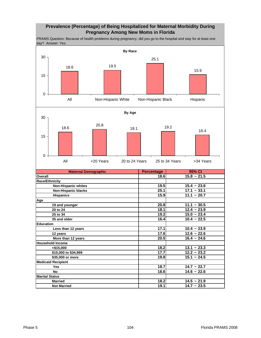## **Prevalence (Percentage) of Being Hospitalized for Maternal Morbidity During Pregnancy Among New Moms in Florida**

PRAMS Question: Because of health problems during pregnancy, did you go to the hospital and stay for at least one day? *Answer: Yes.* 

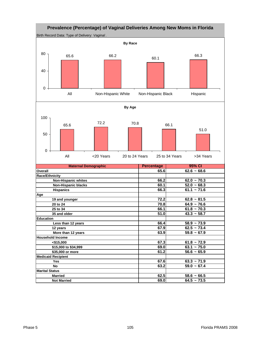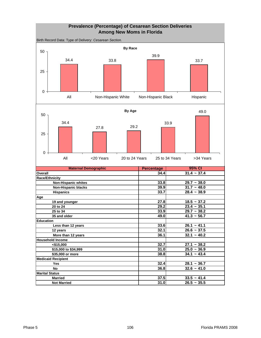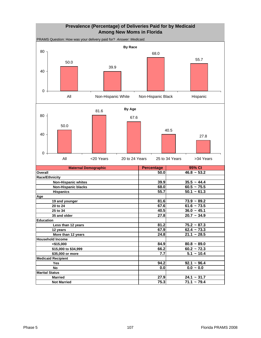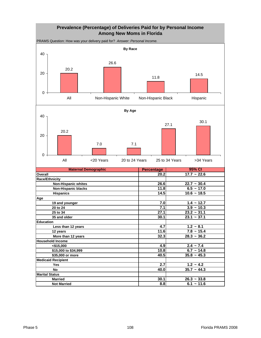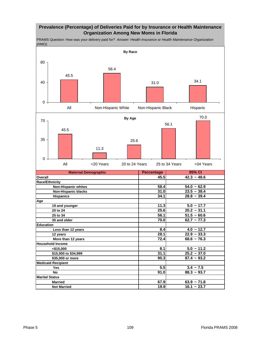# **Prevalence (Percentage) of Deliveries Paid for by Insurance or Health Maintenance Organization Among New Moms in Florida**

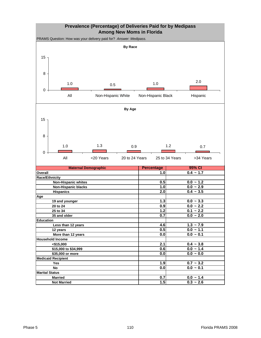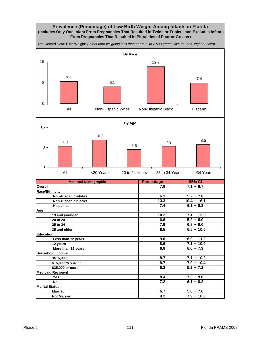### **Prevalence (Percentage) of Low Birth Weight Among Infants in Florida (includes Only One Infant From Pregnancies That Resulted in Twins or Triplets and Excludes Infants From Pregnancies That Resulted in Pluralities of Four or Greater)**

**Maternal Demographic Referential Percentage Overall 7.9 7.1 ~ 8.7 Race/Ethnicity Non-Hispanic whites 6.1 6.1 5.2** ~ 7.0  **Non-Hispanic blacks 13.3** 10.4 ~ 16.1  **Hispanics** 6.1 ~ 8.8 **Age 19 and younger 10.2 7.1 ~ 13.3 20 to 24 6.6 5.2 ~ 8.0 25 to 34 7.9 6.8 ~ 9.0 8.5 10.5 8.5 6.5** ~ 10.5 **Education Less than 12 years 9.0 6.9 ~ 11.2 12 years 8.6 7.1 ~ 10.0 More than 12 years 6.0 6.0 6.0 6.0 6.0 6.0 6.0 6.0 6.0 6.0 6.0 6.0 6.0 6.0 6.0 6.0 6.0 6.0 6.0 6.0 6.0 6.0 6.0 6.0 6.0 6.0 6.0 6.0 6.0 6.0 6.0 6.0 6.0 6. Household Income <\$15,000 8.7 7.1 ~ 10.2 \$15,000 to \$34,999 8.7 8.7 8.7 8.7 8.7 8.2 8.2 8.2 8.2 8.2 8.2 8.2 8.2 8.2 8.2 8.2 8.2 8.2 8.2 8.2 8.2 8.2 8.2 8.2 8.2 8.2 8.2 8.2 8.2 8.2 8.2 8.2 8.2 8. \$35,000 or more** 6.2 **Medicaid Recipient Yes 8.4 7.3 ~ 9.6 No 7.2** 6.1 ~ 8.2 **95% CI By Race** 7.9 6.1 13.3 7.4 0 8 15 All Mon-Hispanic White Non-Hispanic Black Hispanic **By Age** 7.9 10.2 6.6 7.9 8.5 0 8 15 All <20 Years 20 to 24 Years 25 to 34 Years >34 Years

Birth Record Data: Birth Weight: *(Infant born weighing less than or equal to 2,500 grams; five pounds, eight ounces).* 

**Marital Status**

**Not Married 9.2** 7.9 ~ 10.6

**Married 6.7** 5.8 ~ 7.6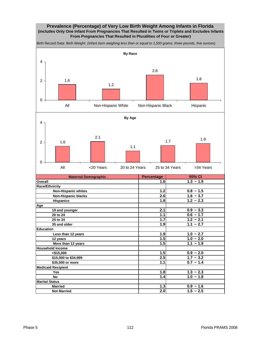### **Prevalence (Percentage) of Very Low Birth Weight Among Infants in Florida (includes Only One Infant From Pregnancies That Resulted in Twins or Triplets and Excludes Infants From Pregnancies That Resulted in Pluralities of Four or Greater)**

**Maternal Demographic Percentage Overall 1.6 1.3 ~ 1.9 Race/Ethnicity Non-Hispanic whites 1.2 1.2 1.5 Non-Hispanic blacks 1.6** ~ 3.7  **Hispanics 1.8 1.2 ~ 2.3 Age 19 and younger 2.1 0.9 ~ 3.3 20 to 24 1.1 1.1 1.1 1.1 1.6 - 1.7 25 to 34 1.7 1.2 ~ 2.1 35 and older 1.9 1.1 ~ 2.7 Education Less than 12 years 1.9 1.0 ~ 2.7 12 years 1.5 1.0 ~ 2.0 More than 12 years 1.5** 1.1 ~ 1.9 **Household Income**  $\left| \frac{1}{5} \right|$  **0.9 ~ 2.0 \$15,000 to \$34,999 2.5 1.7 ~ 3.2 \$35,000 or more 1.1 0.7 ~ 1.4 Medicaid Recipient Yes 1.8 1.3 ~ 2.3 No 1.4 1.0 ~ 1.8 Marital Status Married 1.3** 0.9 ~ 1.6 Birth Record Data: Birth Weight: *(Infant born weighing less than or equal to 1,500 grams; three pounds, five ounces).*  **95% CI By Race** 1.6 1.2 2.6 1.8 0 2 4 All **Non-Hispanic White** Non-Hispanic Black Hispanic **By Age** 1.6 2.1 1.1 1.7 1.9 0 2 4 All <20 Years 20 to 24 Years 25 to 34 Years >34 Years

**Not Married 2.0** 1.5 ~ 2.5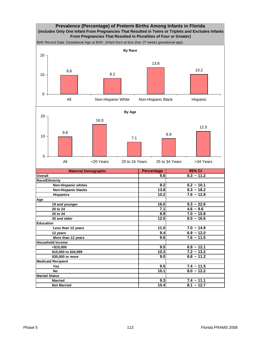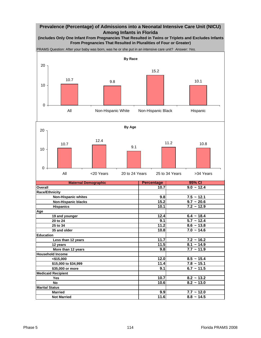# **Prevalence (Percentage) of Admissions into a Neonatal Intensive Care Unit (NICU) Among Infants in Florida**

**(includes Only One Infant From Pregnancies That Resulted in Twins or Triplets and Excludes Infants From Pregnancies That Resulted in Pluralities of Four or Greater)**

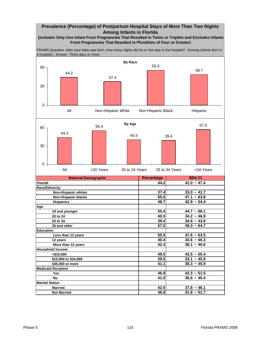# **Prevalence (Percentage) of Postpartum Hospital Stays of More Than Two Nights Among Infants in Florida**

### **(includes Only One Infant From Pregnancies That Resulted in Twins or Triplets and Excludes Infants From Pregnancies That Resulted in Pluralities of Four or Greater)**

PRAMS Question: After your baby was born, how many nights did he or she stay in the hospital? (Among infants born in a hospital.) Answer: *Three days or more.* 

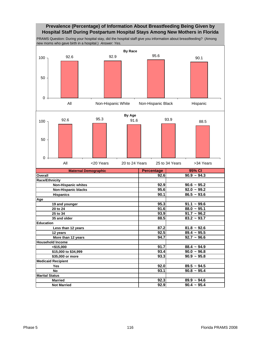# **Prevalence (Percentage) of Information About Breastfeeding Being Given by Hospital Staff During Postpartum Hospital Stays Among New Mothers in Florida**

PRAMS Question: During your hospital stay, did the hospital staff give you information about breastfeeding? (Among new moms who gave birth in a hospital.) *Answer: Yes.* 

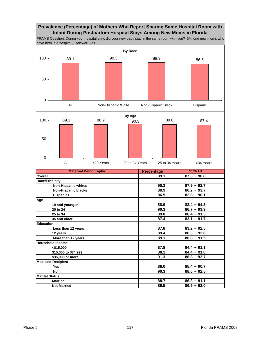# **Prevalence (Percentage) of Mothers Who Report Sharing Same Hospital Room with Infant During Postpartum Hospital Stays Among New Moms in Florida**

PRAMS Question: During your hospital stay, did your new baby stay in the same room with you? (Among new moms who gave birth in a hospital.) *Answer: Yes* .

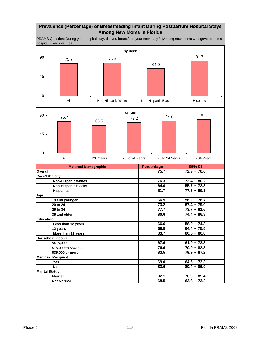# **Prevalence (Percentage) of Breastfeeding Infant During Postpartum Hospital Stays Among New Moms in Florida**

PRAMS Question: During your hospital stay, did you breastfeed your new baby? (Among new moms who gave birth in a hospital.) *Answer: Yes.* 

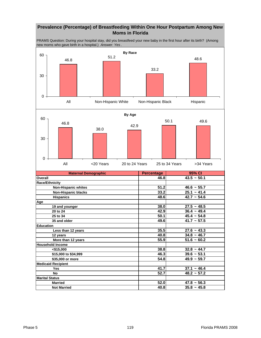# **Prevalence (Percentage) of Breastfeeding Within One Hour Postpartum Among New Moms in Florida**

PRAMS Question: During your hospital stay, did you breastfeed your new baby in the first hour after its birth? (Among new moms who gave birth in a hospital.) *Answer: Yes* .

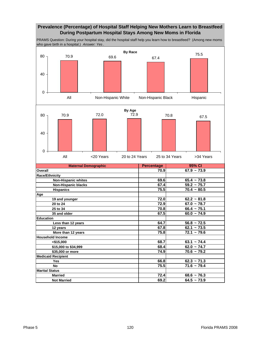# **Prevalence (Percentage) of Hospital Staff Helping New Mothers Learn to Breastfeed During Postpartum Hospital Stays Among New Moms in Florida**

PRAMS Question: During your hospital stay, did the hospital staff help you learn how to breastfeed? (Among new moms who gave birth in a hospital.) *Answer: Yes* .



**Medicaid Recipient**

**Marital Status**

 **\$15,000 to \$34,999 68.4 62.0 ~ 74.7 \$35,000 or more 74.9 70.6 ~ 79.2**

 **Yes 66.8 62.3 ~ 71.3 No** *P P***<sub>1</sub>** *R***<sub>2</sub> <b>***P***<sub>1</sub> <b>***P<sub>1</sub> <i>P***<sub>1</sub> <b>***P<sub>11.6</sub>*  $\sim$  *79.4 P*<sub>1</sub>.6  $\sim$  79.4

**Married 72.4** 68.6 ~ 76.3 **Not Married 69.2** 64.5 ~ 73.9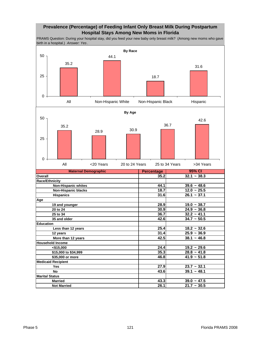# **Prevalence (Percentage) of Feeding Infant Only Breast Milk During Postpartum Hospital Stays Among New Moms in Florida**

PRAMS Question: During your hospital stay, did you feed your new baby only breast milk? (Among new moms who gave birth in a hospital.) *Answer: Yes* .

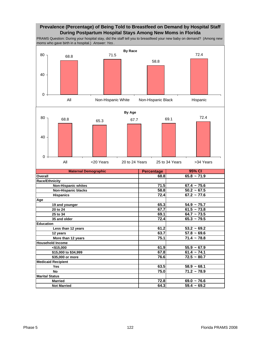# **Prevalence (Percentage) of Being Told to Breastfeed on Demand by Hospital Staff During Postpartum Hospital Stays Among New Moms in Florida**

PRAMS Question: During your hospital stay, did the staff tell you to breastfeed your new baby on demand? (Among new moms who gave birth in a hospital.) *Answer: Yes* .

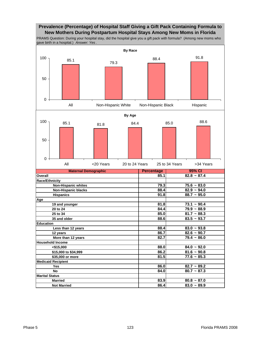# **Prevalence (Percentage) of Hospital Staff Giving a Gift Pack Containing Formula to New Mothers During Postpartum Hospital Stays Among New Moms in Florida**

PRAMS Question: During your hospital stay, did the hospital give you a gift pack with formula? (Among new moms who gave birth in a hospital.) *Answer: Yes* .

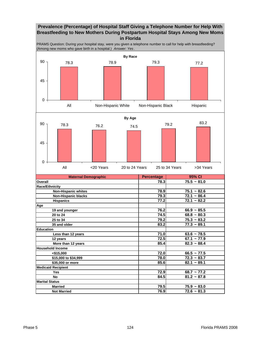# **Prevalence (Percentage) of Hospital Staff Giving a Telephone Number for Help With Breastfeeding to New Mothers During Postpartum Hospital Stays Among New Moms in Florida**

PRAMS Question: During your hospital stay, were you given a telephone number to call for help with breastfeeding? (Among new moms who gave birth in a hospital.) *Answer: Yes* .

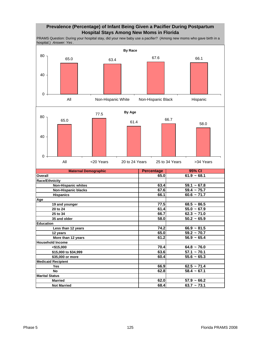# **Prevalence (Percentage) of Infant Being Given a Pacifier During Postpartum Hospital Stays Among New Moms in Florida**

PRAMS Question: During your hospital stay, did your new baby use a pacifier? (Among new moms who gave birth in a hospital.) *Answer: Yes* .

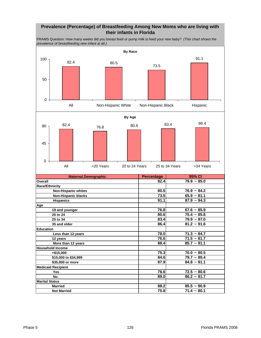# **Prevalence (Percentage) of Breastfeeding Among New Moms who are living with their infants in Florida**

**Maternal Demographic Community Percentage Overall 82.4 79.9 ~ 85.0 Race/Ethnicity Non-Hispanic whites 80.5** 76.9 ~ 84.2 **12.5** Mon-Hispanic blacks<br> **12.5 13.5 13.5 13.5 13.5 13.5 13.5 14.1 13.5 14.1 13.5 14.1 13.5 14.1 13.5 14.1 13.1 14.1 13.1 14.1 15.1 15.1 15.1 15.1 15.1 15.1 15.1 15.1 Hispanics 91.1** 87.9 ~ 94.3 **Age 19 and younger 76.8 67.6 ~ 85.9** 20 to 24 **80.6** 75.4 ~ 85.8  **25 to 34 83.4 79.9 ~ 87.0 35 and older 86.4 81.2 ~ 91.6 Education Less than 12 years 12 years 12 years 12 years 12 years 12 years 12 years 12 years 12 years 12 years 12 years 12 years 12 years 12 years 12 years 12 years 12 years 12 years 12 years 1 12 years 76.6 71.5 ~ 81.7 More than 12 years 88.4 85.7** ~ 91.1 **Household Income <\$15,000 75.3 70.0 ~ 80.5 \$15,000 to \$34,999 84.6 79.7 ~ 89.4 \$35,000 or more 87.9 84.8 ~ 91.1 Medicaid Recipient Yes 76.6 72.5 ~ 80.6** PRAMS Question: How many weeks did you breast feed or pump milk to feed your new baby? *(This chart shows the prevalence of breastfeeding new infant at all.)*  **95% CI By Race** 82.4 80.5 73.5 91.1 0 50 100 All Mon-Hispanic White Non-Hispanic Black Hispanic **By Age** 82.4 76.8 80.6 83.4 86.4 0 45 90 All <20 Years 20 to 24 Years 25 to 34 Years >34 Years

**Marital Status**

**No 89.0** 86.2 ~ 91.7

**Married** 88.2 85.5 ~ 90.9 **Not Married 75.8** 71.4 ~ 80.1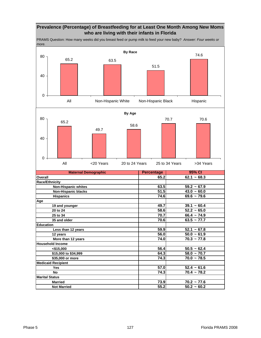# **Prevalence (Percentage) of Breastfeeding for at Least One Month Among New Moms who are living with their infants in Florida**

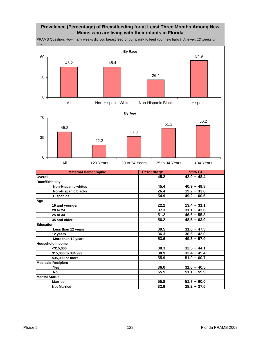# **Prevalence (Percentage) of Breastfeeding for at Least Three Months Among New Moms who are living with their infants in Florida**

**Maternal Demographic Community Percentage Overall 45.2** 42.0 ~ 48.4 **Race/Ethnicity 10.9 ~ 49.8 10.9 ~ 45.4 40.9 ~ 49.8 Non-Hispanic blacks 26.4 19.2 ~ 33.6 Hispanics 54.9 49.2 ~ 60.6 Age 19 and younger 22.2 13.4 ~ 31.1 20 to 24 37.3 31.1 ~ 43.6 25 to 34 51.2 46.6 ~ 55.8 35 and older 56.2 48.5 ~ 63.9 Education Less than 12 years 39.5 31.6 ~ 47.3 12 years 36.3 30.6 ~ 42.0 More than 12 years 6 and 12 years 6 and 12 years 6 and 12 years 6 and 12 years 6 and 12 years 6 and 12 years 6 and 12 years 6 and 12 years 6 and 12 years 6 and 12 years 6 and 12 years 6 and 12 year Household Income 15,000 38.3** 32.5 ~ 44.1  **\$15,000 to \$34,999 38.9 32.4 ~ 45.4 \$35,000 or more 55.9 51.0 ~ 60.7 Medicaid Recipient Yes 36.0 31.6 ~ 40.5 No 55.5** 51.1 ~ 59.9 **Marital Status Married 55.8** 51.7 ~ 60.0  **Not Married 32.9 28.2 ~ 37.5** PRAMS Question: How many weeks did you breast feed or pump milk to feed your new baby? *Answer: 12 weeks or more.*  **95% CI By Race** 45.2 45.4 26.4 54.9 0 30 60 All Mon-Hispanic White Non-Hispanic Black Hispanic **By Age** 45.2 22.2 37.3 51.2 56.2 0 35 70 All <20 Years 20 to 24 Years 25 to 34 Years >34 Years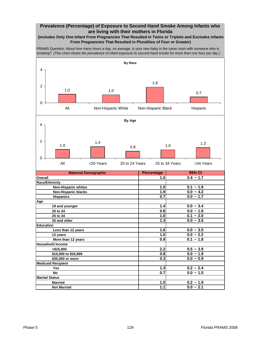# **Prevalence (Percentage) of Exposure to Second Hand Smoke Among Infants who are living with their mothers in Florida**

### **(includes Only One Infant From Pregnancies That Resulted in Twins or Triplets and Excludes Infants From Pregnancies That Resulted in Pluralities of Four or Greater)**

PRAMS Question: About how many hours a day, on average, is your new baby in the same room with someone who is smoking? *(This chart shows the prevalence of infant exposure to second hand smoke for more than one hour per day.)* 

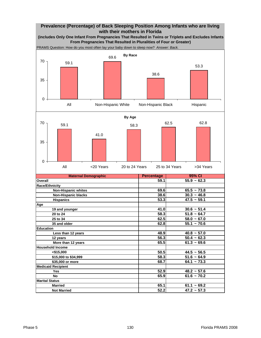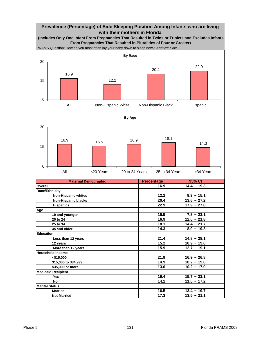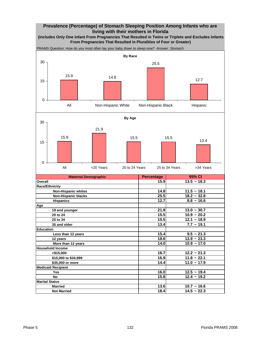# **Prevalence (Percentage) of Stomach Sleeping Position Among Infants who are living with their mothers in Florida**





**Medicaid Recipient**

**Marital Status**

 **Yes 16.0 12.5 ~ 19.4 No 15.8** 12.4 ~ 19.2

**Married 13.6** 10.7 ~ 16.6 **Not Married 18.4** 14.5 ~ 22.3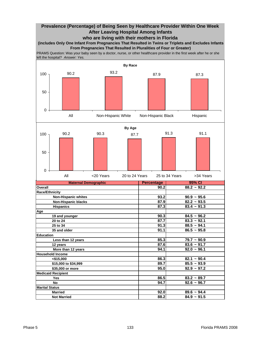# **Prevalence (Percentage) of Being Seen by Healthcare Provider Within One Week After Leaving Hospital Among Infants who are living with their mothers in Florida**

**(includes Only One Infant From Pregnancies That Resulted in Twins or Triplets and Excludes Infants From Pregnancies That Resulted in Pluralities of Four or Greater)**

PRAMS Question: Was your baby seen by a doctor, nurse, or other healthcare provider in the first week after he or she left the hospital? *Answer: Yes.* 

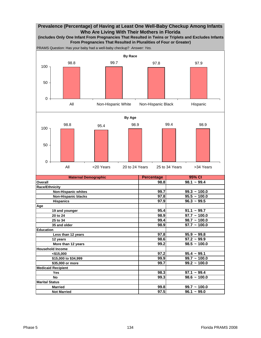# **Prevalence (Percentage) of Having at Least One Well-Baby Checkup Among Infants Who Are Living With Their Mothers in Florida**



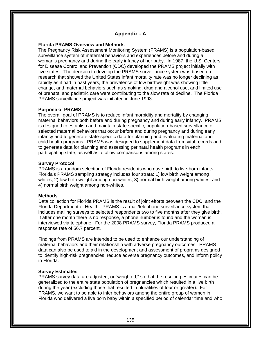# **Appendix - A**

# **Florida PRAMS Overview and Methods**

The Pregnancy Risk Assessment Monitoring System (PRAMS) is a population-based surveillance system of maternal behaviors and experiences before and during a woman's pregnancy and during the early infancy of her baby. In 1987, the U.S. Centers for Disease Control and Prevention (CDC) developed the PRAMS project initially with five states. The decision to develop the PRAMS surveillance system was based on research that showed the United States infant mortality rate was no longer declining as rapidly as it had in past years, the prevalence of low birthweight was showing little change, and maternal behaviors such as smoking, drug and alcohol use, and limited use of prenatal and pediatric care were contributing to the slow rate of decline. The Florida PRAMS surveillance project was initiated in June 1993.

# **Purpose of PRAMS**

The overall goal of PRAMS is to reduce infant morbidity and mortality by changing maternal behaviors both before and during pregnancy and during early infancy. PRAMS is designed to establish and maintain state-specific, population-based surveillance of selected maternal behaviors that occur before and during pregnancy and during early infancy and to generate state-specific data for planning and evaluating maternal and child health programs. PRAMS was designed to supplement data from vital records and to generate data for planning and assessing perinatal health programs in each participating state, as well as to allow comparisons among states.

## **Survey Protocol**

PRAMS is a random selection of Florida residents who gave birth to live-born infants. Florida's PRAMS sampling strategy includes four strata: 1) low birth weight among whites, 2) low birth weight among non-whites, 3) normal birth weight among whites, and 4) normal birth weight among non-whites.

## **Methods**

Data collection for Florida PRAMS is the result of joint efforts between the CDC, and the Florida Department of Health. PRAMS is a mail/telephone surveillance system that includes mailing surveys to selected respondents two to five months after they give birth. If after one month there is no response, a phone number is found and the woman is interviewed via telephone. For the 2008 PRAMS survey, Florida PRAMS produced a response rate of 56.7 percent.

Findings from PRAMS are intended to be used to enhance our understanding of maternal behaviors and their relationship with adverse pregnancy outcomes. PRAMS data can also be used to aid in the development and assessment of programs designed to identify high-risk pregnancies, reduce adverse pregnancy outcomes, and inform policy in Florida.

## **Survey Estimates**

PRAMS survey data are adjusted, or "weighted," so that the resulting estimates can be generalized to the entire state population of pregnancies which resulted in a live birth during the year (excluding those that resulted in pluralities of four or greater). For PRAMS, we want to be able to infer behaviors among the entire group of women in Florida who delivered a live born baby within a specified period of calendar time and who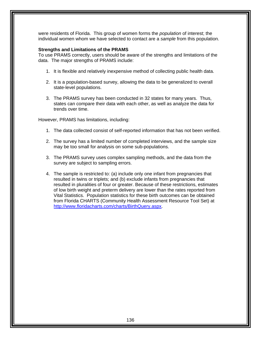were residents of Florida. This group of women forms the *population* of interest; the individual women whom we have selected to contact are a *sample* from this population.

# **Strengths and Limitations of the PRAMS**

To use PRAMS correctly, users should be aware of the strengths and limitations of the data. The major strengths of PRAMS include:

- 1. It is flexible and relatively inexpensive method of collecting public health data.
- 2. It is a population-based survey, allowing the data to be generalized to overall state-level populations.
- 3. The PRAMS survey has been conducted in 32 states for many years. Thus, states can compare their data with each other, as well as analyze the data for trends over time.

However, PRAMS has limitations, including:

- 1. The data collected consist of self-reported information that has not been verified.
- 2. The survey has a limited number of completed interviews, and the sample size may be too small for analysis on some sub-populations.
- 3. The PRAMS survey uses complex sampling methods, and the data from the survey are subject to sampling errors.
- 4. The sample is restricted to: (a) include only one infant from pregnancies that resulted in twins or triplets; and (b) exclude infants from pregnancies that resulted in pluralities of four or greater. Because of these restrictions, estimates of low birth weight and preterm delivery are lower than the rates reported from Vital Statistics. Population statistics for these birth outcomes can be obtained from Florida CHARTS (Community Health Assessment Resource Tool Set) at http://www.floridacharts.com/charts/BirthQuery.aspx.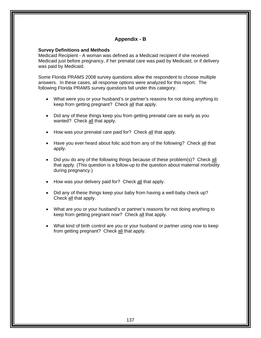# **Appendix - B**

## **Survey Definitions and Methods**

Medicaid Recipient - A woman was defined as a Medicaid recipient if she received Medicaid just before pregnancy, if her prenatal care was paid by Medicaid, or if delivery was paid by Medicaid.

Some Florida PRAMS 2008 survey questions allow the respondent to choose multiple answers. In these cases, all response options were analyzed for this report. The following Florida PRAMS survey questions fall under this category.

- What were you or your husband's or partner's reasons for not doing anything to keep from getting pregnant? Check all that apply.
- Did any of these things keep you from getting prenatal care as early as you wanted? Check all that apply.
- How was your prenatal care paid for? Check all that apply.
- Have you ever heard about folic acid from any of the following? Check all that apply.
- Did you do any of the following things because of these problem(s)? Check all that apply. (This question is a follow-up to the question about maternal morbidity during pregnancy.)
- How was your delivery paid for? Check all that apply.
- Did any of these things keep your baby from having a well-baby check up? Check all that apply.
- What are you or your husband's or partner's reasons for not doing anything to keep from getting pregnant *now*? Check all that apply.
- What kind of birth control are you or your husband or partner using *now* to keep from getting pregnant? Check all that apply.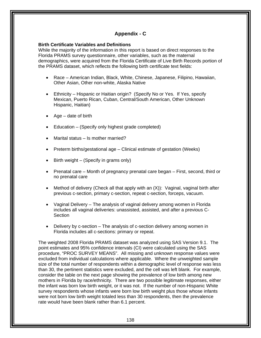# **Appendix - C**

# **Birth Certificate Variables and Definitions**

While the majority of the information in this report is based on direct responses to the Florida PRAMS survey questionnaire, other variables, such as the maternal demographics, were acquired from the Florida Certificate of Live Birth Records portion of the PRAMS dataset, which reflects the following birth certificate text fields:

- Race American Indian, Black, White, Chinese, Japanese, Filipino, Hawaiian, Other Asian, Other non-white, Alaska Native
- Ethnicity Hispanic or Haitian origin? (Specify No or Yes. If Yes, specify Mexican, Puerto Rican, Cuban, Central/South American, Other Unknown Hispanic, Haitian)
- Age date of birth
- Education (Specify only highest grade completed)
- Marital status Is mother married?
- Preterm births/gestational age Clinical estimate of gestation (Weeks)
- Birth weight (Specify in grams only)
- Prenatal care Month of pregnancy prenatal care began First, second, third or no prenatal care
- Method of delivery (Check all that apply with an (X)): Vaginal, vaginal birth after previous c-section, primary c-section, repeat c-section, forceps, vacuum.
- Vaginal Delivery The analysis of vaginal delivery among women in Florida includes all vaginal deliveries: unassisted, assisted, and after a previous C-**Section**
- Delivery by c-section The analysis of c-section delivery among women in Florida includes all c-sections: primary or repeat.

The weighted 2008 Florida PRAMS dataset was analyzed using SAS Version 9.1. The point estimates and 95% confidence intervals (CI) were calculated using the SAS procedure, "PROC SURVEY MEANS". All missing and unknown response values were excluded from individual calculations where applicable. Where the unweighted sample size of the total number of respondents within a demographic level of response was less than 30, the pertinent statistics were excluded, and the cell was left blank. For example, consider the table on the next page showing the prevalence of low birth among new mothers in Florida by race/ethnicity. There are two possible legitimate responses, either the infant was born low birth weight, or it was not. If the number of non-Hispanic White survey respondents whose infants were born low birth weight plus those whose infants were not born low birth weight totaled less than 30 respondents, then the prevalence rate would have been blank rather than 6.1 percent.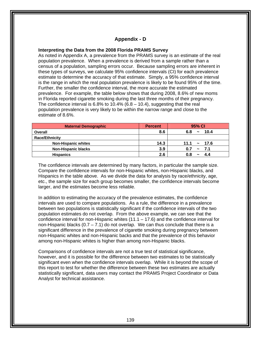# **Appendix - D**

# **Interpreting the Data from the 2008 Florida PRAMS Survey**

As noted in Appendix A, a prevalence from the PRAMS survey is an estimate of the real population prevalence. When a prevalence is derived from a sample rather than a census of a population, sampling errors occur. Because sampling errors are inherent in these types of surveys, we calculate 95% confidence intervals (CI) for each prevalence estimate to determine the accuracy of that estimate. Simply, a 95% confidence interval is the range in which the real population prevalence is likely to be found 95% of the time. Further, the smaller the confidence interval, the more accurate the estimated prevalence. For example, the table below shows that during 2008, 8.6% of new moms in Florida reported cigarette smoking during the last three months of their pregnancy. The confidence interval is  $6.8\%$  to  $10.4\%$  ( $6.8 - 10.4$ ), suggesting that the real population prevalence is very likely to be within the narrow range and close to the estimate of 8.6%.

| <b>Maternal Demographic</b> | <b>Percent</b> | 95% CI                               |
|-----------------------------|----------------|--------------------------------------|
| Overall                     | 8.6            | 10.4<br>6.8<br>$\tilde{\phantom{a}}$ |
| <b>Race/Ethnicity</b>       |                |                                      |
| <b>Non-Hispanic whites</b>  | 14.3           | $11.1 \sim 17.6$                     |
| <b>Non-Hispanic blacks</b>  | 3.9            | - 7.1<br>0.7<br>$\sim$               |
| <b>Hispanics</b>            | 2.6            |                                      |

The confidence intervals are determined by many factors, in particular the sample size. Compare the confidence intervals for non-Hispanic whites, non-Hispanic blacks, and Hispanics in the table above. As we divide the data for analysis by race/ethnicity, age, etc., the sample size for each group becomes smaller, the confidence intervals become larger, and the estimates become less reliable.

In addition to estimating the accuracy of the prevalence estimates, the confidence intervals are used to compare populations. As a rule, the difference in a prevalence between two populations is statistically significant if the confidence intervals of the two population estimates do not overlap. From the above example, we can see that the confidence interval for non-Hispanic whites  $(11.1 - 17.6)$  and the confidence interval for non-Hispanic blacks  $(0.7 - 7.1)$  do not overlap. We can thus conclude that there is a significant difference in the prevalence of cigarette smoking during pregnancy between non-Hispanic whites and non-Hispanic backs and that the prevalence of this behavior among non-Hispanic whites is higher than among non-Hispanic blacks.

Comparisons of confidence intervals are not a true test of statistical significance, however, and it is possible for the difference between two estimates to be statistically significant even when the confidence intervals overlap. While it is beyond the scope of this report to test for whether the difference between these two estimates are actually statistically significant, data users may contact the PRAMS Project Coordinator or Data Analyst for technical assistance.